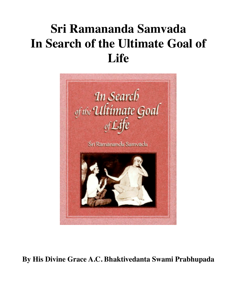# **Sri Ramananda Samvada In Search of the Ultimate Goal of Life**



**By His Divine Grace A.C. Bhaktivedanta Swami Prabhupada**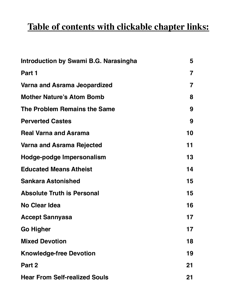## **Table of contents with clickable chapter links:**

| <b>Introduction by Swami B.G. Narasingha</b> | 5                       |
|----------------------------------------------|-------------------------|
| Part 1                                       | $\overline{\mathbf{7}}$ |
| <b>Varna and Asrama Jeopardized</b>          | 7                       |
| <b>Mother Nature's Atom Bomb</b>             | 8                       |
| <b>The Problem Remains the Same</b>          | 9                       |
| <b>Perverted Castes</b>                      | 9                       |
| <b>Real Varna and Asrama</b>                 | 10                      |
| <b>Varna and Asrama Rejected</b>             | 11                      |
| Hodge-podge Impersonalism                    | 13                      |
| <b>Educated Means Atheist</b>                | 14                      |
| <b>Sankara Astonished</b>                    | 15                      |
| <b>Absolute Truth is Personal</b>            | 15                      |
| <b>No Clear Idea</b>                         | 16                      |
| <b>Accept Sannyasa</b>                       | 17                      |
| <b>Go Higher</b>                             | 17                      |
| <b>Mixed Devotion</b>                        | 18                      |
| <b>Knowledge-free Devotion</b>               | 19                      |
| Part 2                                       | 21                      |
| <b>Hear From Self-realized Souls</b>         | 21                      |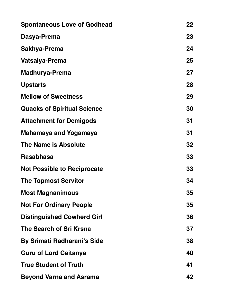| <b>Spontaneous Love of Godhead</b> | 22 |
|------------------------------------|----|
| Dasya-Prema                        | 23 |
| Sakhya-Prema                       | 24 |
| Vatsalya-Prema                     | 25 |
| <b>Madhurya-Prema</b>              | 27 |
| <b>Upstarts</b>                    | 28 |
| <b>Mellow of Sweetness</b>         | 29 |
| <b>Quacks of Spiritual Science</b> | 30 |
| <b>Attachment for Demigods</b>     | 31 |
| <b>Mahamaya and Yogamaya</b>       | 31 |
| <b>The Name is Absolute</b>        | 32 |
| <b>Rasabhasa</b>                   | 33 |
| <b>Not Possible to Reciprocate</b> | 33 |
| <b>The Topmost Servitor</b>        | 34 |
| <b>Most Magnanimous</b>            | 35 |
| <b>Not For Ordinary People</b>     | 35 |
| <b>Distinguished Cowherd Girl</b>  | 36 |
| The Search of Sri Krsna            | 37 |
| <b>By Srimati Radharani's Side</b> | 38 |
| <b>Guru of Lord Caitanya</b>       | 40 |
| <b>True Student of Truth</b>       | 41 |
| <b>Beyond Varna and Asrama</b>     | 42 |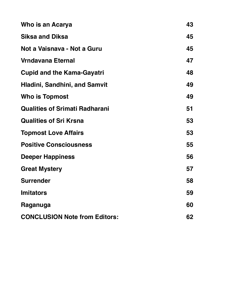| Who is an Acarya                      | 43 |
|---------------------------------------|----|
| <b>Siksa and Diksa</b>                | 45 |
| Not a Vaisnava - Not a Guru           | 45 |
| <b>Vrndavana Eternal</b>              | 47 |
| <b>Cupid and the Kama-Gayatri</b>     | 48 |
| <b>Hladini, Sandhini, and Samvit</b>  | 49 |
| Who is Topmost                        | 49 |
| <b>Qualities of Srimati Radharani</b> | 51 |
| <b>Qualities of Sri Krsna</b>         | 53 |
| <b>Topmost Love Affairs</b>           | 53 |
| <b>Positive Consciousness</b>         | 55 |
| <b>Deeper Happiness</b>               | 56 |
| <b>Great Mystery</b>                  | 57 |
| <b>Surrender</b>                      | 58 |
| <b>Imitators</b>                      | 59 |
| Raganuga                              | 60 |
| <b>CONCLUSION Note from Editors:</b>  | 62 |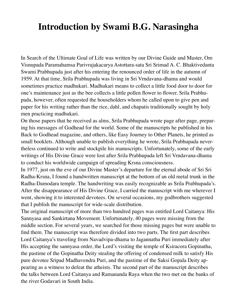### <span id="page-4-0"></span>**Introduction by Swami B.G. Narasingha**

In Search of the Ultimate Goal of Life was written by our Divine Guide and Master, Om Visnupada Paramahamsa Parivrajakacarya Astottara-sata Sri Srimad A. C. Bhaktivedanta Swami Prabhupada just after his entering the renounced order of life in the autumn of 1959. At that time, Srila Prabhupada was living in Sri Vrndavana-dhama and would sometimes practice madhukari. Madhukari means to collect a little food door to door for one's maintenance just as the bee collects a little pollen flower to flower. Srila Prabhupada, however, often requested the householders whom he called upon to give pen and paper for his writing rather than the rice, dahl, and chapatis traditionally sought by holy men practicing madhukari.

On those papers that he received as alms, Srila Prabhupada wrote page after page, preparing his messages of Godhead for the world. Some of the manuscripts he published in his Back to Godhead magazine, and others, like Easy Journey to Other Planets, he printed as small booklets. Although unable to publish everything he wrote, Srila Prabhupada nevertheless continued to write and stockpile his manuscripts. Unfortunately, some of the early writings of His Divine Grace were lost after Srila Prabhupada left Sri Vrndavana-dhama to conduct his worldwide campaign of spreading Krsna consciousness.

In 1977, just on the eve of our Divine Master's departure for the eternal abode of Sri Sri Radha-Krsna, I found a handwritten manuscript at the bottom of an old metal trunk in the Radha-Damodara temple. The handwriting was easily recognizable as Srila Prabhupada's. After the disappearance of His Divine Grace, I carried the manuscript with me wherever I went, showing it to interested devotees. On several occasions, my godbrothers suggested that I publish the manuscript for wide-scale distribution.

The original manuscript of more than two hundred pages was entitled Lord Caitanya: His Sannyasa and Sankirtana Movement. Unfortunately, 40 pages were missing from the middle section. For several years, we searched for those missing pages but were unable to find them. The manuscript was therefore divided into two parts. The first part describes Lord Caitanya's traveling from Navadvipa-dhama to Jagannatha Puri immediately after His accepting the sannyasa order, the Lord's visiting the temple of Ksiracora Gopinatha, the pastime of the Gopinatha Deity stealing the offering of condensed milk to satisfy His pure devotee Sripad Madhavendra Puri, and the pastime of the Saksi Gopala Deity appearing as a witness to defeat the atheists. The second part of the manuscript describes the talks between Lord Caitanya and Ramananda Raya when the two met on the banks of the river Godavari in South India.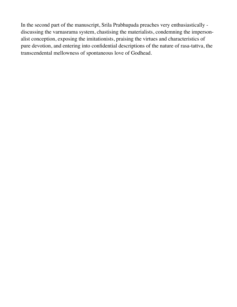In the second part of the manuscript, Srila Prabhupada preaches very enthusiastically discussing the varnasrama system, chastising the materialists, condemning the impersonalist conception, exposing the imitationists, praising the virtues and characteristics of pure devotion, and entering into confidential descriptions of the nature of rasa-tattva, the transcendental mellowness of spontaneous love of Godhead.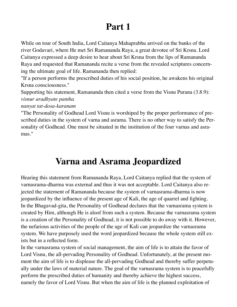## <span id="page-6-0"></span>**Part 1**

While on tour of South India, Lord Caitanya Mahaprabhu arrived on the banks of the river Godavari, where He met Sri Ramananda Raya, a great devotee of Sri Krsna. Lord Caitanya expressed a deep desire to hear about Sri Krsna from the lips of Ramananda Raya and requested that Ramananda recite a verse from the revealed scriptures concerning the ultimate goal of life. Ramananda then replied:

"If a person performs the prescribed duties of his social position, he awakens his original Krsna consciousness."

Supporting his statement, Ramananda then cited a verse from the Visnu Purana (3.8.9): *visnur aradhyate pantha*

*nanyat tat-dosa-karanam*

"The Personality of Godhead Lord Visnu is worshiped by the proper performance of prescribed duties in the system of varna and asrama. There is no other way to satisfy the Personality of Godhead. One must be situated in the institution of the four varnas and asramas."

### <span id="page-6-1"></span>**Varna and Asrama Jeopardized**

Hearing this statement from Ramananda Raya, Lord Caitanya replied that the system of varnasrama-dharma was external and thus it was not acceptable. Lord Caitanya also rejected the statement of Ramananda because the system of varnasrama-dharma is now jeopardized by the influence of the present age of Kali, the age of quarrel and fighting. In the Bhagavad-gita, the Personality of Godhead declares that the varnasrama system is created by Him, although He is aloof from such a system. Because the varnasrama system is a creation of the Personality of Godhead, it is not possible to do away with it. However, the nefarious activities of the people of the age of Kali can jeopardize the varnasrama system. We have purposely used the word jeopardized because the whole system still exists but in a reflected form.

In the varnasrama system of social management, the aim of life is to attain the favor of Lord Visnu, the all-pervading Personality of Godhead. Unfortunately, at the present moment the aim of life is to displease the all-pervading Godhead and thereby suffer perpetually under the laws of material nature. The goal of the varnasrama system is to peacefully perform the prescribed duties of humanity and thereby achieve the highest success, namely the favor of Lord Visnu. But when the aim of life is the planned exploitation of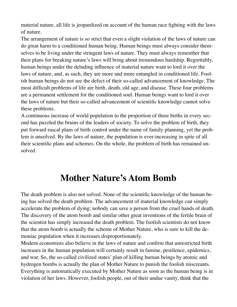material nature, all life is jeopardized on account of the human race fighting with the laws of nature.

The arrangement of nature is so strict that even a slight violation of the laws of nature can do great harm to a conditioned human being. Human beings must always consider themselves to be living under the stringent laws of nature. They must always remember that their plans for breaking nature's laws will bring about tremendous hardship. Regrettably, human beings under the deluding influence of material nature want to lord it over the laws of nature, and, as such, they are more and more entangled in conditioned life. Foolish human beings do not see the defect of their so-called advancement of knowledge. The most difficult problems of life are birth, death, old age, and disease. These four problems are a permanent settlement for the conditioned soul. Human beings want to lord it over the laws of nature but their so-called advancement of scientific knowledge cannot solve these problems.

A continuous increase of world population to the proportion of three births in every second has puzzled the brains of the leaders of society. To solve the problem of birth, they put forward rascal plans of birth control under the name of family planning, yet the problem is unsolved. By the laws of nature, the population is ever-increasing in spite of all their scientific plans and schemes. On the whole, the problem of birth has remained unsolved.

### <span id="page-7-0"></span>**Mother Nature's Atom Bomb**

The death problem is also not solved. None of the scientific knowledge of the human being has solved the death problem. The advancement of material knowledge can simply accelerate the problem of dying; nobody can save a person from the cruel hands of death. The discovery of the atom bomb and similar other great inventions of the fertile brain of the scientist has simply increased the death problem. The foolish scientists do not know that the atom bomb is actually the scheme of Mother Nature, who is sure to kill the demoniac population when it increases disproportionately.

Modern economists also believe in the laws of nature and confirm that unrestricted birth increases in the human population will certainly result in famine, pestilence, epidemics, and war. So, the so-called civilized states' plan of killing human beings by atomic and hydrogen bombs is actually the plan of Mother Nature to punish the foolish miscreants. Everything is automatically executed by Mother Nature as soon as the human being is in violation of her laws. However, foolish people, out of their undue vanity, think that the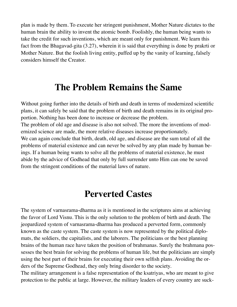plan is made by them. To execute her stringent punishment, Mother Nature dictates to the human brain the ability to invent the atomic bomb. Foolishly, the human being wants to take the credit for such inventions, which are meant only for punishment. We learn this fact from the Bhagavad-gita (3.27), wherein it is said that everything is done by prakrti or Mother Nature. But the foolish living entity, puffed up by the vanity of learning, falsely considers himself the Creator.

#### <span id="page-8-0"></span>**The Problem Remains the Same**

Without going further into the details of birth and death in terms of modernized scientific plans, it can safely be said that the problem of birth and death remains in its original proportion. Nothing has been done to increase or decrease the problem. The problem of old age and disease is also not solved. The more the inventions of modernized science are made, the more relative diseases increase proportionately. We can again conclude that birth, death, old age, and disease are the sum total of all the problems of material existence and can never be solved by any plan made by human beings. If a human being wants to solve all the problems of material existence, he must abide by the advice of Godhead that only by full surrender unto Him can one be saved from the stringent conditions of the material laws of nature.

#### <span id="page-8-1"></span>**Perverted Castes**

The system of varnasrama-dharma as it is mentioned in the scriptures aims at achieving the favor of Lord Visnu. This is the only solution to the problem of birth and death. The jeopardized system of varnasrama-dharma has produced a perverted form, commonly known as the caste system. The caste system is now represented by the political diplomats, the soldiers, the capitalists, and the laborers. The politicians or the best planning brains of the human race have taken the position of brahmanas. Surely the brahmana possesses the best brain for solving the problems of human life, but the politicians are simply using the best part of their brains for executing their own selfish plans. Avoiding the orders of the Supreme Godhead, they only bring disorder to the society.

The military arrangement is a false representation of the ksatriyas, who are meant to give protection to the public at large. However, the military leaders of every country are suck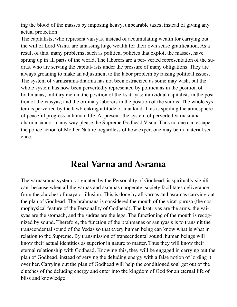ing the blood of the masses by imposing heavy, unbearable taxes, instead of giving any actual protection.

The capitalists, who represent vaisyas, instead of accumulating wealth for carrying out the will of Lord Visnu, are amassing huge wealth for their own sense gratification. As a result of this, many problems, such as political policies that exploit the masses, have sprung up in all parts of the world. The laborers are a per- verted representation of the sudras, who are serving the capital- ists under the pressure of many obligations. They are always groaning to make an adjustment to the labor problem by raising political issues. The system of varnasrama-dharma has not been ostracized as some may wish, but the whole system has now been pervertedly represented by politicians in the position of brahmanas; military men in the position of the ksatriyas; individual capitalists in the position of the vaisyas; and the ordinary laborers in the position of the sudras. The whole system is perverted by the lawbreaking attitude of mankind. This is spoiling the atmosphere of peaceful progress in human life. At present, the system of perverted varnasramadharma cannot in any way please the Supreme Godhead Visnu. Thus no one can escape the police action of Mother Nature, regardless of how expert one may be in material science.

#### <span id="page-9-0"></span>**Real Varna and Asrama**

The varnasrama system, originated by the Personality of Godhead, is spiritually significant because when all the varnas and asramas cooperate, society facilitates deliverance from the clutches of maya or illusion. This is done by all varnas and asramas carrying out the plan of Godhead. The brahmana is considered the mouth of the virat-purusa (the cosmophysical feature of the Personality of Godhead). The ksatriyas are the arms, the vaisyas are the stomach, and the sudras are the legs. The functioning of the mouth is recognized by sound. Therefore, the function of the brahmanas or sannyasis is to transmit the transcendental sound of the Vedas so that every human being can know what is what in relation to the Supreme. By transmission of transcendental sound, human beings will know their actual identities as superior in nature to matter. Thus they will know their eternal relationship with Godhead. Knowing this, they will be engaged in carrying out the plan of Godhead, instead of serving the deluding energy with a false notion of lording it over her. Carrying out the plan of Godhead will help the conditioned soul get out of the clutches of the deluding energy and enter into the kingdom of God for an eternal life of bliss and knowledge.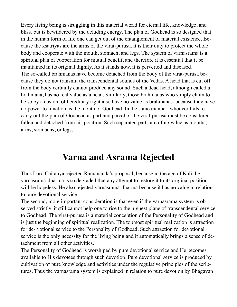Every living being is struggling in this material world for eternal life, knowledge, and bliss, but is bewildered by the deluding energy. The plan of Godhead is so designed that in the human form of life one can get out of the entanglement of material existence. Because the ksatriyas are the arms of the virat-purusa, it is their duty to protect the whole body and cooperate with the mouth, stomach, and legs. The system of varnasrama is a spiritual plan of cooperation for mutual benefit, and therefore it is essential that it be maintained in its original dignity. As it stands now, it is perverted and diseased. The so-called brahmanas have become detached from the body of the virat-purusa because they do not transmit the transcendental sounds of the Vedas. A head that is cut off from the body certainly cannot produce any sound. Such a dead head, although called a brahmana, has no real value as a head. Similarly, those brahmanas who simply claim to be so by a custom of hereditary right also have no value as brahmanas, because they have no power to function as the mouth of Godhead. In the same manner, whoever fails to carry out the plan of Godhead as part and parcel of the virat-purusa must be considered fallen and detached from his position. Such separated parts are of no value as mouths, arms, stomachs, or legs.

#### <span id="page-10-0"></span>**Varna and Asrama Rejected**

Thus Lord Caitanya rejected Ramananda's proposal, because in the age of Kali the varnasrama-dharma is so degraded that any attempt to restore it to its original position will be hopeless. He also rejected varnasrama-dharma because it has no value in relation to pure devotional service.

The second, more important consideration is that even if the varnasrama system is observed strictly, it still cannot help one to rise to the highest plane of transcendental service to Godhead. The virat-purusa is a material conception of the Personality of Godhead and is just the beginning of spiritual realization. The topmost spiritual realization is attraction for de- votional service to the Personality of Godhead. Such attraction for devotional service is the only necessity for the living being and it automatically brings a sense of detachment from all other activities.

The Personality of Godhead is worshiped by pure devotional service and He becomes available to His devotees through such devotion. Pure devotional service is produced by cultivation of pure knowledge and activities under the regulative principles of the scriptures. Thus the varnasrama system is explained in relation to pure devotion by Bhagavan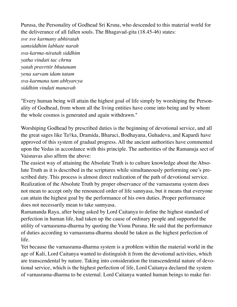Purusa, the Personality of Godhead Sri Krsna, who descended to this material world for the deliverance of all fallen souls. The Bhagavad-gita (18.45-46) states:

*sve sve karmany abhiratah samsiddhim labhate narah sva-karma-niratah siddhim yatha vindati tac chrnu yatah pravrttir bhutanam yena sarvam idam tatam sva-karmana tam abhyarcya siddhim vindati manavah*

"Every human being will attain the highest goal of life simply by worshiping the Personality of Godhead, from whom all the living entities have come into being and by whom the whole cosmos is generated and again withdrawn."

Worshiping Godhead by prescribed duties is the beginning of devotional service, and all the great sages like Ta†ka, Dramida, Bharuci, Bodhayana, Guhadeva, and Kapardi have approved of this system of gradual progress. All the ancient authorities have commented upon the Vedas in accordance with this principle. The authorities of the Ramanuja sect of Vaisnavas also affirm the above:

The easiest way of attaining the Absolute Truth is to culture knowledge about the Absolute Truth as it is described in the scriptures while simultaneously performing one's prescribed duty. This process is almost direct realization of the path of devotional service. Realization of the Absolute Truth by proper observance of the varnasrama system does not mean to accept only the renounced order of life sannyasa, but it means that everyone can attain the highest goal by the performance of his own duties. Proper performance does not necessarily mean to take sannyasa.

Ramananda Raya, after being asked by Lord Caitanya to define the highest standard of perfection in human life, had taken up the cause of ordinary people and supported the utility of varnasrama-dharma by quoting the Visnu Purana. He said that the performance of duties according to varnasrama-dharma should be taken as the highest perfection of life.

Yet because the varnasrama-dharma system is a problem within the material world in the age of Kali, Lord Caitanya wanted to distinguish it from the devotional activities, which are transcendental by nature. Taking into consideration the transcendental nature of devotional service, which is the highest perfection of life, Lord Caitanya declared the system of varnasrama-dharma to be external. Lord Caitanya wanted human beings to make fur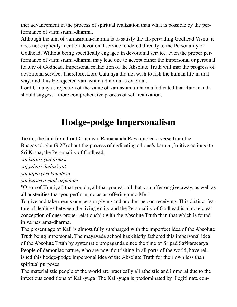ther advancement in the process of spiritual realization than what is possible by the performance of varnasrama-dharma.

Although the aim of varnasrama-dharma is to satisfy the all-pervading Godhead Visnu, it does not explicitly mention devotional service rendered directly to the Personality of Godhead. Without being specifically engaged in devotional service, even the proper performance of varnasrama-dharma may lead one to accept either the impersonal or personal feature of Godhead. Impersonal realization of the Absolute Truth will mar the progress of devotional service. Therefore, Lord Caitanya did not wish to risk the human life in that way, and thus He rejected varnasrama-dharma as external.

Lord Caitanya's rejection of the value of varnasrama-dharma indicated that Ramananda should suggest a more comprehensive process of self-realization.

### <span id="page-12-0"></span>**Hodge-podge Impersonalism**

Taking the hint from Lord Caitanya, Ramananda Raya quoted a verse from the Bhagavad-gita (9.27) about the process of dedicating all one's karma (fruitive actions) to Sri Krsna, the Personality of Godhead.

*yat karosi yad asnasi*

*yaj juhosi dadasi yat*

*yat tapasyasi kaunteya*

*yat kurusva mad-arpanam*

"O son of Kunti, all that you do, all that you eat, all that you offer or give away, as well as all austerities that you perform, do as an offering unto Me."

To give and take means one person giving and another person receiving. This distinct feature of dealings between the living entity and the Personality of Godhead is a more clear conception of ones proper relationship with the Absolute Truth than that which is found in varnasrama-dharma.

The present age of Kali is almost fully surcharged with the imperfect idea of the Absolute Truth being impersonal. The mayavada school has chiefly fathered this impersonal idea of the Absolute Truth by systematic propaganda since the time of Sripad Sa†karacarya. People of demoniac nature, who are now flourishing in all parts of the world, have relished this hodge-podge impersonal idea of the Absolute Truth for their own less than spiritual purposes.

The materialistic people of the world are practically all atheistic and immoral due to the infectious conditions of Kali-yuga. The Kali-yuga is predominated by illegitimate con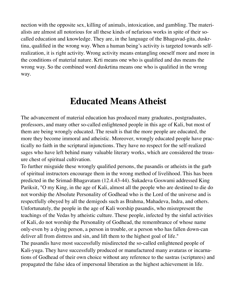nection with the opposite sex, killing of animals, intoxication, and gambling. The materialists are almost all notorious for all these kinds of nefarious works in spite of their socalled education and knowledge. They are, in the language of the Bhagavad-gita, duskrtina, qualified in the wrong way. When a human being's activity is targeted towards selfrealization, it is right activity. Wrong activity means entangling oneself more and more in the conditions of material nature. Krti means one who is qualified and dus means the wrong way. So the combined word duskrtina means one who is qualified in the wrong way.

#### <span id="page-13-0"></span>**Educated Means Atheist**

The advancement of material education has produced many graduates, postgraduates, professors, and many other so-called enlightened people in this age of Kali, but most of them are being wrongly educated. The result is that the more people are educated, the more they become immoral and atheistic. Moreover, wrongly educated people have practically no faith in the scriptural injunctions. They have no respect for the self-realized sages who have left behind many valuable literary works, which are considered the treasure chest of spiritual cultivation.

To further misguide these wrongly qualified persons, the pasandis or atheists in the garb of spiritual instructors encourage them in the wrong method of livelihood. This has been predicted in the Srimad-Bhagavatam (12.4.43-44). Sukadeva Goswami addressed King Pariksit, "O my King, in the age of Kali, almost all the people who are destined to die do not worship the Absolute Personality of Godhead who is the Lord of the universe and is respectfully obeyed by all the demigods such as Brahma, Mahadeva, Indra, and others. Unfortunately, the people in the age of Kali worship pasandis, who misrepresent the teachings of the Vedas by atheistic culture. These people, infected by the sinful activities of Kali, do not worship the Personality of Godhead, the remembrance of whose name only-even by a dying person, a person in trouble, or a person who has fallen down-can deliver all from distress and sin, and lift them to the highest goal of life."

The pasandis have most successfully misdirected the so-called enlightened people of Kali-yuga. They have successfully produced or manufactured many avataras or incarnations of Godhead of their own choice without any reference to the sastras (scriptures) and propagated the false idea of impersonal liberation as the highest achievement in life.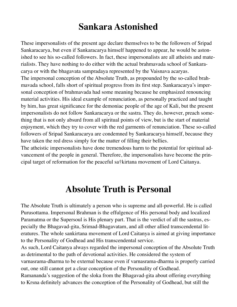#### <span id="page-14-0"></span>**Sankara Astonished**

These impersonalists of the present age declare themselves to be the followers of Sripad Sankaracarya, but even if Sankaracarya himself happened to appear, he would be astonished to see his so-called followers. In fact, these impersonalists are all atheists and materialists. They have nothing to do either with the actual brahmavada school of Sankaracarya or with the bhagavata sampradaya represented by the Vaisnava acaryas. The impersonal conception of the Absolute Truth, as propounded by the so-called brahmavada school, falls short of spiritual progress from its first step. Sankaracarya's impersonal conception of brahmavada had some meaning because he emphasized renouncing material activities. His ideal example of renunciation, as personally practiced and taught by him, has great significance for the demoniac people of the age of Kali, but the present impersonalists do not follow Sankaracarya or the sastra. They do, however, preach something that is not only absurd from all spiritual points of view, but is the start of material enjoyment, which they try to cover with the red garments of renunciation. These so-called followers of Sripad Sankaracarya are condemned by Sankaracarya himself, because they have taken the red dress simply for the matter of filling their bellies.

The atheistic impersonalists have done tremendous harm to the potential for spiritual advancement of the people in general. Therefore, the impersonalists have become the principal target of reformation for the peaceful sa†kirtana movement of Lord Caitanya.

#### <span id="page-14-1"></span>**Absolute Truth is Personal**

The Absolute Truth is ultimately a person who is supreme and all-powerful. He is called Purusottama. Impersonal Brahman is the effulgence of His personal body and localized Paramatma or the Supersoul is His plenary part. That is the verdict of all the sastras, especially the Bhagavad-gita, Srimad-Bhagavatam, and all other allied transcendental literatures. The whole sankirtana movement of Lord Caitanya is aimed at giving importance to the Personality of Godhead and His transcendental service.

As such, Lord Caitanya always regarded the impersonal conception of the Absolute Truth as detrimental to the path of devotional activities. He considered the system of varnasrama-dharma to be external because even if varnasrama-dharma is properly carried out, one still cannot get a clear conception of the Personality of Godhead. Ramananda's suggestion of the sloka from the Bhagavad-gita about offering everything

to Krsna definitely advances the conception of the Personality of Godhead, but still the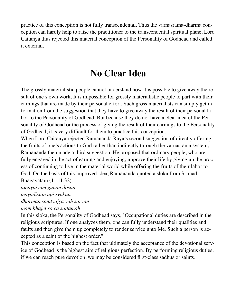practice of this conception is not fully transcendental. Thus the varnasrama-dharma conception can hardly help to raise the practitioner to the transcendental spiritual plane. Lord Caitanya thus rejected this material conception of the Personality of Godhead and called it external.

### <span id="page-15-0"></span>**No Clear Idea**

The grossly materialistic people cannot understand how it is possible to give away the result of one's own work. It is impossible for grossly materialistic people to part with their earnings that are made by their personal effort. Such gross materialists can simply get information from the suggestion that they have to give away the result of their personal labor to the Personality of Godhead. But because they do not have a clear idea of the Personality of Godhead or the process of giving the result of their earnings to the Personality of Godhead, it is very difficult for them to practice this conception.

When Lord Caitanya rejected Ramananda Raya's second suggestion of directly offering the fruits of one's actions to God rather than indirectly through the varnasrama system, Ramananda then made a third suggestion. He proposed that ordinary people, who are fully engaged in the act of earning and enjoying, improve their life by giving up the process of continuing to live in the material world while offering the fruits of their labor to God. On the basis of this improved idea, Ramananda quoted a sloka from Srimad-Bhagavatam (11.11.32):

*ajnayaivam gunan dosan*

*mayadistan api svakan*

*dharman samtyajya yah sarvan*

*mam bhajet sa ca sattamah*

In this sloka, the Personality of Godhead says, "Occupational duties are described in the religious scriptures. If one analyzes them, one can fully understand their qualities and faults and then give them up completely to render service unto Me. Such a person is accepted as a saint of the highest order."

This conception is based on the fact that ultimately the acceptance of the devotional service of Godhead is the highest aim of religious perfection. By performing religious duties, if we can reach pure devotion, we may be considered first-class sadhus or saints.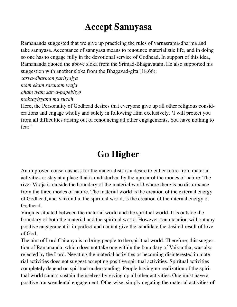### <span id="page-16-0"></span>**Accept Sannyasa**

Ramananda suggested that we give up practicing the rules of varnasrama-dharma and take sannyasa. Acceptance of sannyasa means to renounce materialistic life, and in doing so one has to engage fully in the devotional service of Godhead. In support of this idea, Ramananda quoted the above sloka from the Srimad-Bhagavatam. He also supported his suggestion with another sloka from the Bhagavad-gita (18.66):

*sarva-dharman parityajya*

*mam ekam saranam vraja*

*aham tvam sarva-papebhyo*

*moksayisyami ma sucah*

Here, the Personality of Godhead desires that everyone give up all other religious considerations and engage wholly and solely in following Him exclusively. "I will protect you from all difficulties arising out of renouncing all other engagements. You have nothing to fear."

## <span id="page-16-1"></span>**Go Higher**

An improved consciousness for the materialists is a desire to either retire from material activities or stay at a place that is undisturbed by the uproar of the modes of nature. The river Viraja is outside the boundary of the material world where there is no disturbance from the three modes of nature. The material world is the creation of the external energy of Godhead, and Vaikuntha, the spiritual world, is the creation of the internal energy of Godhead.

Viraja is situated between the material world and the spiritual world. It is outside the boundary of both the material and the spiritual world. However, renunciation without any positive engagement is imperfect and cannot give the candidate the desired result of love of God.

The aim of Lord Caitanya is to bring people to the spiritual world. Therefore, this suggestion of Ramananda, which does not take one within the boundary of Vaikuntha, was also rejected by the Lord. Negating the material activities or becoming disinterested in material activities does not suggest accepting positive spiritual activities. Spiritual activities completely depend on spiritual understanding. People having no realization of the spiritual world cannot sustain themselves by giving up all other activities. One must have a positive transcendental engagement. Otherwise, simply negating the material activities of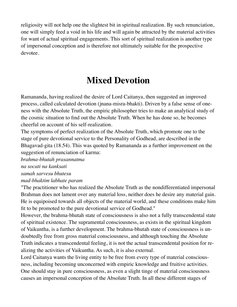religiosity will not help one the slightest bit in spiritual realization. By such renunciation, one will simply feed a void in his life and will again be attracted by the material activities for want of actual spiritual engagements. This sort of spiritual realization is another type of impersonal conception and is therefore not ultimately suitable for the prospective devotee.

### <span id="page-17-0"></span>**Mixed Devotion**

Ramananda, having realized the desire of Lord Caitanya, then suggested an improved process, called calculated devotion (jnana-misra-bhakti). Driven by a false sense of oneness with the Absolute Truth, the empiric philosopher tries to make an analytical study of the cosmic situation to find out the Absolute Truth. When he has done so, he becomes cheerful on account of his self-realization.

The symptoms of perfect realization of the Absolute Truth, which promote one to the stage of pure devotional service to the Personality of Godhead, are described in the Bhagavad-gita (18.54). This was quoted by Ramananda as a further improvement on the suggestion of renunciation of karma:

*brahma-bhutah prasannatma na socati na kanksati samah sarvesu bhutesu mad-bhaktim labhate param*

"The practitioner who has realized the Absolute Truth as the nondifferentiated impersonal Brahman does not lament over any material loss, neither does he desire any material gain. He is equipoised towards all objects of the material world, and these conditions make him fit to be promoted to the pure devotional service of Godhead."

However, the brahma-bhutah state of consciousness is also not a fully transcendental state of spiritual existence. The supramental consciousness, as exists in the spiritual kingdom of Vaikuntha, is a further development. The brahma-bhutah state of consciousness is undoubtedly free from gross material consciousness, and although touching the Absolute Truth indicates a transcendental feeling, it is not the actual transcendental position for realizing the activities of Vaikuntha. As such, it is also external.

Lord Caitanya wants the living entity to be free from every type of material consciousness, including becoming unconcerned with empiric knowledge and fruitive activities. One should stay in pure consciousness, as even a slight tinge of material consciousness causes an impersonal conception of the Absolute Truth. In all these different stages of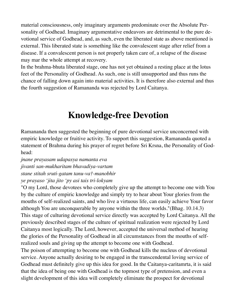material consciousness, only imaginary arguments predominate over the Absolute Personality of Godhead. Imaginary argumentative endeavors are detrimental to the pure devotional service of Godhead, and, as such, even the liberated state as above mentioned is external. This liberated state is something like the convalescent stage after relief from a disease. If a convalescent person is not properly taken care of, a relapse of the disease may mar the whole attempt at recovery.

In the brahma-bhuta liberated stage, one has not yet obtained a resting place at the lotus feet of the Personality of Godhead. As such, one is still unsupported and thus runs the chance of falling down again into material activities. It is therefore also external and thus the fourth suggestion of Ramananda was rejected by Lord Caitanya.

### <span id="page-18-0"></span>**Knowledge-free Devotion**

Ramananda then suggested the beginning of pure devotional service unconcerned with empiric knowledge or fruitive activity. To support this suggestion, Ramananda quoted a statement of Brahma during his prayer of regret before Sri Krsna, the Personality of Godhead:

*jnane prayasam udapasya namanta eva jivanti san-mukharitam bhavadiya-vartam stane stitah sruti-gatam tanu-va†-manobhir ye prayaso 'jita jito 'py asi tais tri-lokyam*

"O my Lord, those devotees who completely give up the attempt to become one with You by the culture of empiric knowledge and simply try to hear about Your glories from the mouths of self-realized saints, and who live a virtuous life, can easily achieve Your favor although You are unconquerable by anyone within the three worlds."(Bhag. 10.14.3) This stage of culturing devotional service directly was accepted by Lord Caitanya. All the previously described stages of the culture of spiritual realization were rejected by Lord Caitanya most logically. The Lord, however, accepted the universal method of hearing the glories of the Personality of Godhead in all circumstances from the mouths of selfrealized souls and giving up the attempt to become one with Godhead.

The poison of attempting to become one with Godhead kills the nucleus of devotional service. Anyone actually desiring to be engaged in the transcendental loving service of Godhead must definitely give up this idea for good. In the Caitanya-caritamrta, it is said that the idea of being one with Godhead is the topmost type of pretension, and even a slight development of this idea will completely eliminate the prospect for devotional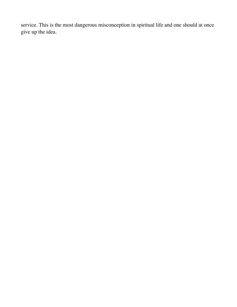service. This is the most dangerous misconception in spiritual life and one should at once give up the idea.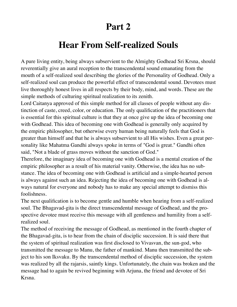### <span id="page-20-0"></span>**Part 2**

### <span id="page-20-1"></span>**Hear From Self-realized Souls**

A pure living entity, being always subservient to the Almighty Godhead Sri Krsna, should reverentially give an aural reception to the transcendental sound emanating from the mouth of a self-realized soul describing the glories of the Personality of Godhead. Only a self-realized soul can produce the powerful effect of transcendental sound. Devotees must live thoroughly honest lives in all respects by their body, mind, and words. These are the simple methods of culturing spiritual realization to its zenith.

Lord Caitanya approved of this simple method for all classes of people without any distinction of caste, creed, color, or education. The only qualification of the practitioners that is essential for this spiritual culture is that they at once give up the idea of becoming one with Godhead. This idea of becoming one with Godhead is generally only acquired by the empiric philosopher, but otherwise every human being naturally feels that God is greater than himself and that he is always subservient to all His wishes. Even a great personality like Mahatma Gandhi always spoke in terms of "God is great." Gandhi often said, "Not a blade of grass moves without the sanction of God."

Therefore, the imaginary idea of becoming one with Godhead is a mental creation of the empiric philosopher as a result of his material vanity. Otherwise, the idea has no substance. The idea of becoming one with Godhead is artificial and a simple-hearted person is always against such an idea. Rejecting the idea of becoming one with Godhead is always natural for everyone and nobody has to make any special attempt to dismiss this foolishness.

The next qualification is to become gentle and humble when hearing from a self-realized soul. The Bhagavad-gita is the direct transcendental message of Godhead, and the prospective devotee must receive this message with all gentleness and humility from a selfrealized soul.

The method of receiving the message of Godhead, as mentioned in the fourth chapter of the Bhagavad-gita, is to hear from the chain of disciplic succession. It is said there that the system of spiritual realization was first disclosed to Vivasvan, the sun-god, who transmitted the message to Manu, the father of mankind. Manu then transmitted the subject to his son Iksvaku. By the transcendental method of disciplic succession, the system was realized by all the rajarsis, saintly kings. Unfortunately, the chain was broken and the message had to again be revived beginning with Arjuna, the friend and devotee of Sri Krsna.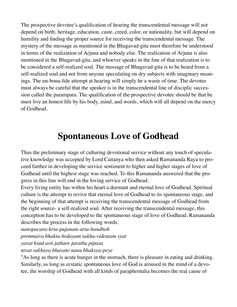The prospective devotee's qualification of hearing the transcendental message will not depend on birth, heritage, education, caste, creed, color, or nationality, but will depend on humility and finding the proper source for receiving the transcendental message. The mystery of the message as mentioned in the Bhagavad-gita must therefore be understood in terms of the realization of Arjuna and nobody else. The realization of Arjuna is also mentioned in the Bhagavad-gita, and whoever speaks in the line of that realization is to be considered a self-realized soul. The message of Bhagavad-gita is to be heard from a self-realized soul and not from anyone speculating on dry subjects with imaginary meanings. The un-bona-fide attempt at hearing will simply be a waste of time. The devotee must always be careful that the speaker is in the transcendental line of disciplic succession called the parampara. The qualification of the prospective devotee should be that he must live an honest life by his body, mind, and words, which will all depend on the mercy of Godhead.

### <span id="page-21-0"></span>**Spontaneous Love of Godhead**

Thus the preliminary stage of culturing devotional service without any touch of speculative knowledge was accepted by Lord Caitanya who then asked Ramananda Raya to proceed further in developing the service sentiment to higher and higher stages of love of Godhead until the highest stage was reached. To this Ramananda answered that the progress in this line will end in the loving service of Godhead.

Every living entity has within his heart a dormant and eternal love of Godhead. Spiritual culture is the attempt to revive that eternal love of Godhead to its spontaneous stage, and the beginning of that attempt is receiving the transcendental message of Godhead from the right source- a self-realized soul. After receiving the transcendental message, this conception has to be developed to the spontaneous stage of love of Godhead. Ramananda describes the process in the following words:

*nanopacara-krta-pujanam arta-bandhoh*

*premnaiva bhakta-hrdayam sukha-vidrutam syat*

*yavat ksud asti jathare jaratha pipasa*

*tavat sukhaya bhavato nanu bhaksya-peye*

"As long as there is acute hunger in the stomach, there is pleasure in eating and drinking. Similarly, as long as ecstatic spontaneous love of God is aroused in the mind of a devotee, the worship of Godhead with all kinds of paraphernalia becomes the real cause of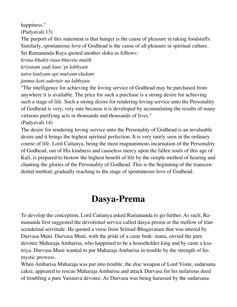happiness."

(Padyavali 13)

The purport of this statement is that hunger is the cause of pleasure in taking foodstuffs. Similarly, spontaneous love of Godhead is the cause of all pleasure in spiritual culture. Sri Ramananda Raya quoted another sloka as follows:

*krsna-bhakti-rasa-bhavita matih kriyatam yadi kuto 'pi labhyate tatra laulyam api mulyam ekalam janma-koti-sukrtair na labhyate*

"The intelligence for achieving the loving service of Godhead may be purchased from anywhere it is available. The price for such a purchase is a strong desire for achieving such a stage of life. Such a strong desire for rendering loving service unto the Personality of Godhead is very, very rare because it is developed by accumulating the results of many virtuous purifying acts in thousands and thousands of lives."

(Padyavali 14)

The desire for rendering loving service unto the Personality of Godhead is an invaluable desire and it brings the highest spiritual perfection. It is very rarely seen in the ordinary course of life. Lord Caitanya, being the most magnanimous incarnation of the Personality of Godhead, out of His kindness and causeless mercy upon the fallen souls of this age of Kali, is prepared to bestow the highest benefit of life by the simple method of hearing and chanting the glories of the Personality of Godhead. This is the beginning of the transcendental method, gradually reaching to the stage of spontaneous love of Godhead.

### <span id="page-22-0"></span>**Dasya-Prema**

To develop the conception, Lord Caitanya asked Ramananda to go further. As such, Ramananda first suggested the devotional service called dasya-prema or the mellow of transcendental servitude. He quoted a verse from Srimad-Bhagavatam that was uttered by Durvasa Muni. Durvasa Muni, with the pride of a caste brah- mana, envied the pure devotee Maharaja Ambarisa, who happened to be a householder king and by caste a ksatriya. Durvasa Muni wanted to put Maharaja Ambarisa in trouble by the strength of his mystic prowess.

When Ambarisa Maharaja was put into trouble, the disc weapon of Lord Visnu, sudarsana cakra, appeared to rescue Maharaja Ambarisa and attack Durvasa for his nefarious deed of troubling a pure Vaisnava devotee. As Durvasa was being harassed by the sudarsana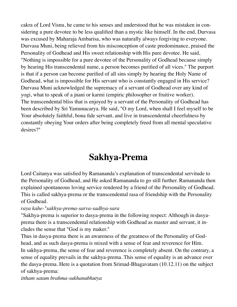cakra of Lord Visnu, he came to his senses and understood that he was mistaken in considering a pure devotee to be less qualified than a mystic like himself. In the end, Durvasa was excused by Maharaja Ambarisa, who was naturally always forgiving to everyone. Durvasa Muni, being relieved from his misconception of caste predominance, praised the Personality of Godhead and His sweet relationship with His pure devotee. He said, "Nothing is impossible for a pure devotee of the Personality of Godhead because simply by hearing His transcendental name, a person becomes purified of all vices." The purport is that if a person can become purified of all sins simply by hearing the Holy Name of Godhead, what is impossible for His servant who is constantly engaged in His service? Durvasa Muni acknowledged the supremacy of a servant of Godhead over any kind of yogi, what to speak of a jnani or karmi (empiric philosopher or fruitive worker). The transcendental bliss that is enjoyed by a servant of the Personality of Godhead has been described by Sri Yamunacarya. He said, "O my Lord, when shall I feel myself to be Your absolutely faithful, bona fide servant, and live in transcendental cheerfulness by constantly obeying Your orders after being completely freed from all mental speculative desires?"

### <span id="page-23-0"></span>**Sakhya-Prema**

Lord Caitanya was satisfied by Ramananda's explanation of transcendental servitude to the Personality of Godhead, and He asked Ramananda to go still further. Ramananda then explained spontaneous loving service rendered by a friend of the Personality of Godhead. This is called sakhya-prema or the transcendental rasa of friendship with the Personality of Godhead.

*raya kahe-"sakhya-prema-sarva-sadhya-sara*

"Sakhya-prema is superior to dasya-prema in the following respect: Although in dasyaprema there is a transcendental relationship with Godhead as master and servant, it includes the sense that "God is my maker."

Thus in dasya-prema there is an awareness of the greatness of the Personality of Godhead, and as such dasya-prema is mixed with a sense of fear and reverence for Him.

In sakhya-prema, the sense of fear and reverence is completely absent. On the contrary, a sense of equality prevails in the sakhya-prema. This sense of equality is an advance over the dasya-prema. Here is a quotation from Srimad-Bhagavatam (10.12.11) on the subject of sakhya-prema:

*ittham satam brahma-sukhanubhutya*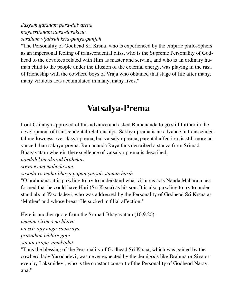*dasyam gatanam para-daivatena mayasritanam nara-darakena sardham vijahruh krta-punya-punjah*

"The Personality of Godhead Sri Krsna, who is experienced by the empiric philosophers as an impersonal feeling of transcendental bliss, who is the Supreme Personality of Godhead to the devotees related with Him as master and servant, and who is an ordinary human child to the people under the illusion of the external energy, was playing in the rasa of friendship with the cowherd boys of Vraja who obtained that stage of life after many, many virtuous acts accumulated in many, many lives."

### <span id="page-24-0"></span>**Vatsalya-Prema**

Lord Caitanya approved of this advance and asked Ramananda to go still further in the development of transcendental relationships. Sakhya-prema is an advance in transcendental mellowness over dasya-prema, but vatsalya-prema, parental affection, is still more advanced than sakhya-prema. Ramananda Raya thus described a stanza from Srimad-Bhagavatam wherein the excellence of vatsalya-prema is described.

*nandah kim akarod brahman*

*sreya evam mahodayam*

*yasoda va maha-bhaga papau yasyah stanam harih*

"O brahmana, it is puzzling to try to understand what virtuous acts Nanda Maharaja performed that he could have Hari (Sri Krsna) as his son. It is also puzzling to try to understand about Yasodadevi, who was addressed by the Personality of Godhead Sri Krsna as 'Mother' and whose breast He sucked in filial affection."

Here is another quote from the Srimad-Bhagavatam (10.9.20):

*nemam virinco na bhavo*

*na srir apy anga-samsraya*

*prasadam lebhire gopi*

*yat tat prapa vimuktidat*

"Thus the blessing of the Personality of Godhead Srî Krsna, which was gained by the cowherd lady Yasodadevi, was never expected by the demigods like Brahma or Siva or even by Laksmidevi, who is the constant consort of the Personality of Godhead Narayana."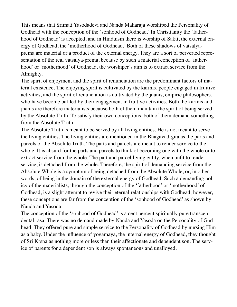This means that Srimati Yasodadevi and Nanda Maharaja worshiped the Personality of Godhead with the conception of the 'sonhood of Godhead.' In Christianity the 'fatherhood of Godhead' is accepted, and in Hinduism there is worship of Sakti, the external energy of Godhead, the 'motherhood of Godhead.' Both of these shadows of vatsalyaprema are material or a product of the external energy. They are a sort of perverted representation of the real vatsalya-prema, because by such a material conception of 'fatherhood' or 'motherhood' of Godhead, the worshiper's aim is to extract service from the Almighty.

The spirit of enjoyment and the spirit of renunciation are the predominant factors of material existence. The enjoying spirit is cultivated by the karmis, people engaged in fruitive activities, and the spirit of renunciation is cultivated by the jnanis, empiric philosophers, who have become baffled by their engagement in fruitive activities. Both the karmis and jnanis are therefore materialists because both of them maintain the spirit of being served by the Absolute Truth. To satisfy their own conceptions, both of them demand something from the Absolute Truth.

The Absolute Truth is meant to be served by all living entities. He is not meant to serve the living entities. The living entities are mentioned in the Bhagavad-gita as the parts and parcels of the Absolute Truth. The parts and parcels are meant to render service to the whole. It is absurd for the parts and parcels to think of becoming one with the whole or to extract service from the whole. The part and parcel living entity, when unfit to render service, is detached from the whole. Therefore, the spirit of demanding service from the Absolute Whole is a symptom of being detached from the Absolute Whole, or, in other words, of being in the domain of the external energy of Godhead. Such a demanding policy of the materialists, through the conception of the 'fatherhood' or 'motherhood' of Godhead, is a slight attempt to revive their eternal relationships with Godhead; however, these conceptions are far from the conception of the 'sonhood of Godhead' as shown by Nanda and Yasoda.

The conception of the 'sonhood of Godhead' is a cent percent spiritually pure transcendental rasa. There was no demand made by Nanda and Yasoda on the Personality of Godhead. They offered pure and simple service to the Personality of Godhead by nursing Him as a baby. Under the influence of yogamaya, the internal energy of Godhead, they thought of Sri Krsna as nothing more or less than their affectionate and dependent son. The service of parents for a dependent son is always spontaneous and unalloyed.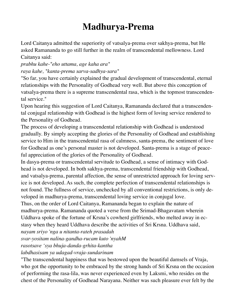## <span id="page-26-0"></span>**Madhurya-Prema**

Lord Caitanya admitted the superiority of vatsalya-prema over sakhya-prema, but He asked Ramananda to go still further in the realm of transcendental mellowness. Lord Caitanya said:

*prabhu kahe-"eho uttama, age kaha ara" raya kahe, "kanta-prema sarva-sadhya-sara"*

"So far, you have certainly explained the gradual development of transcendental, eternal relationships with the Personality of Godhead very well. But above this conception of vatsalya-prema there is a supreme transcendental rasa, which is the topmost transcendental service."

Upon hearing this suggestion of Lord Caitanya, Ramananda declared that a transcendental conjugal relationship with Godhead is the highest form of loving service rendered to the Personality of Godhead.

The process of developing a transcendental relationship with Godhead is understood gradually. By simply accepting the glories of the Personality of Godhead and establishing service to Him in the transcendental rasa of calmness, santa-prema, the sentiment of love for Godhead as one's personal master is not developed. Santa-prema is a stage of peaceful appreciation of the glories of the Personality of Godhead.

In dasya-prema or transcendental servitude to Godhead, a sense of intimacy with Godhead is not developed. In both sakhya-prema, transcendental friendship with Godhead, and vatsalya-prema, parental affection, the sense of unrestricted approach for loving service is not developed. As such, the complete perfection of transcendental relationships is not found. The fullness of service, unchecked by all conventional restrictions, is only developed in madhurya-prema, transcendental loving service in conjugal love.

Thus, on the order of Lord Caitanya, Ramananda began to explain the nature of madhurya-prema. Ramananda quoted a verse from the Srimad-Bhagavatam wherein Uddhava spoke of the fortune of Krsna's cowherd girlfriends, who melted away in ecstasy when they heard Uddhava describe the activities of Sri Krsna. Uddhava said,

*nayam sriyo 'nga u nitanta-rateh prasadah svar-yositam nalina-gandha-rucam kuto 'nyahM rasotsave 'sya bhuja-danda-grhita-kantha labdhasisam ya udagad-vraja-sundarinam*

"The transcendental happiness that was bestowed upon the beautiful damsels of Vraja, who got the opportunity to be embraced by the strong hands of Sri Krsna on the occasion of performing the rasa-lila, was never experienced even by Laksmi, who resides on the chest of the Personality of Godhead Narayana. Neither was such pleasure ever felt by the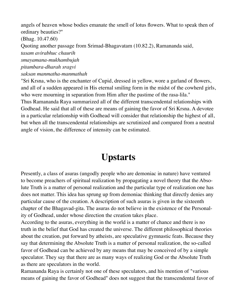angels of heaven whose bodies emanate the smell of lotus flowers. What to speak then of ordinary beauties?" (Bhag. 10.47.60) Quoting another passage from Srimad-Bhagavatam (10.82.2), Ramananda said, *tasam avirabhuc chaurih smayamana-mukhambujah pitambara-dharah sragvi*

*saksan manmatha-manmathah*

"Sri Krsna, who is the enchanter of Cupid, dressed in yellow, wore a garland of flowers, and all of a sudden appeared in His eternal smiling form in the midst of the cowherd girls, who were mourning in separation from Him after the pastime of the rasa-lila." Thus Ramananda Raya summarized all of the different transcendental relationships with Godhead. He said that all of these are means of gaining the favor of Sri Krsna. A devotee in a particular relationship with Godhead will consider that relationship the highest of all, but when all the transcendental relationships are scrutinized and compared from a neutral angle of vision, the difference of intensity can be estimated.

### <span id="page-27-0"></span>**Upstarts**

Presently, a class of asuras (ungodly people who are demoniac in nature) have ventured to become preachers of spiritual realization by propagating a novel theory that the Absolute Truth is a matter of personal realization and the particular type of realization one has does not matter. This idea has sprung up from demoniac thinking that directly denies any particular cause of the creation. A description of such asuras is given in the sixteenth chapter of the Bhagavad-gita. The asuras do not believe in the existence of the Personality of Godhead, under whose direction the creation takes place.

According to the asuras, everything in the world is a matter of chance and there is no truth in the belief that God has created the universe. The different philosophical theories about the creation, put forward by atheists, are speculative gymnastic feats. Because they say that determining the Absolute Truth is a matter of personal realization, the so-called favor of Godhead can be achieved by any means that may be conceived of by a simple speculator. They say that there are as many ways of realizing God or the Absolute Truth as there are speculators in the world.

Ramananda Raya is certainly not one of these speculators, and his mention of "various means of gaining the favor of Godhead" does not suggest that the transcendental favor of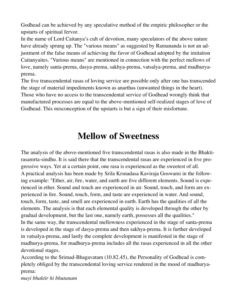Godhead can be achieved by any speculative method of the empiric philosopher or the upstarts of spiritual fervor.

In the name of Lord Caitanya's cult of devotion, many speculators of the above nature have already sprung up. The "various means" as suggested by Ramananda is not an adjustment of the false means of achieving the favor of Godhead adopted by the imitation Caitanyaites. "Various means" are mentioned in connection with the perfect mellows of love, namely santa-prema, dasya-prema, sakhya-prema, vatsalya-prema, and madhuryaprema.

The five transcendental rasas of loving service are possible only after one has transcended the stage of material impediments known as anarthas (unwanted things in the heart). Those who have no access to the transcendental service of Godhead wrongly think that manufactured processes are equal to the above-mentioned self-realized stages of love of Godhead. This misconception of the upstarts is but a sign of their misfortune.

#### <span id="page-28-0"></span>**Mellow of Sweetness**

The analysis of the above-mentioned five transcendental rasas is also made in the Bhaktirasamrta-sindhu. It is said there that the transcendental rasas are experienced in five progressive ways. Yet at a certain point, one rasa is experienced as the sweetest of all. A practical analysis has been made by Srila Krsnadasa Kaviraja Goswami in the following example: "Ether, air, fire, water, and earth are five different elements. Sound is experienced in ether. Sound and touch are experienced in air. Sound, touch, and form are experienced in fire. Sound, touch, form, and taste are experienced in water. And sound, touch, form, taste, and smell are experienced in earth. Earth has the qualities of all the elements. The analysis is that each elemental quality is developed through the other by gradual development, but the last one, namely earth, possesses all the qualities." In the same way, the transcendental mellowness experienced in the stage of santa-prema is developed in the stage of dasya-prema and then sakhya-prema. It is further developed in vatsalya-prema, and lastly the complete development is manifested in the stage of madhurya-prema, for madhurya-prema includes all the rasas experienced in all the other devotional stages.

According to the Srimad-Bhagavatam (10.82.45), the Personality of Godhead is completely obliged by the transcendental loving service rendered in the mood of madhuryaprema:

*mayi bhaktir hi bhutanam*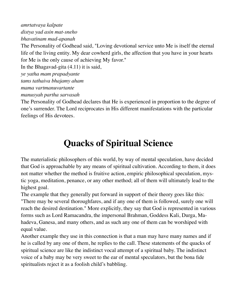*amrtatvaya kalpate*

*distya yad asin mat-sneho*

*bhavatinam mad-apanah*

The Personality of Godhead said, "Loving devotional service unto Me is itself the eternal life of the living entity. My dear cowherd girls, the affection that you have in your hearts for Me is the only cause of achieving My favor."

In the Bhagavad-gita (4.11) it is said,

*ye yatha mam prapadyante*

*tams tathaiva bhajamy aham*

*mama vartmanuvartante*

*manusyah partha sarvasah*

The Personality of Godhead declares that He is experienced in proportion to the degree of one's surrender. The Lord reciprocates in His different manifestations with the particular feelings of His devotees.

### <span id="page-29-0"></span>**Quacks of Spiritual Science**

The materialistic philosophers of this world, by way of mental speculation, have decided that God is approachable by any means of spiritual cultivation. According to them, it does not matter whether the method is fruitive action, empiric philosophical speculation, mystic yoga, meditation, penance, or any other method; all of them will ultimately lead to the highest goal.

The example that they generally put forward in support of their theory goes like this: "There may be several thoroughfares, and if any one of them is followed, surely one will reach the desired destination." More explicitly, they say that God is represented in various forms such as Lord Ramacandra, the impersonal Brahman, Goddess Kali, Durga, Mahadeva, Ganesa, and many others, and as such any one of them can be worshiped with equal value.

Another example they use in this connection is that a man may have many names and if he is called by any one of them, he replies to the call. These statements of the quacks of spiritual science are like the indistinct vocal attempt of a spiritual baby. The indistinct voice of a baby may be very sweet to the ear of mental speculators, but the bona fide spiritualists reject it as a foolish child's babbling.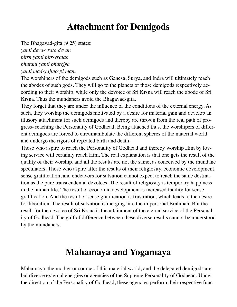### <span id="page-30-0"></span>**Attachment for Demigods**

The Bhagavad-gita (9.25) states: *yanti deva-vrata devan pitrn yanti pitr-vratah bhutani yanti bhutejya*

#### *yanti mad-yajino'pi mam*

The worshipers of the demigods such as Ganesa, Surya, and Indra will ultimately reach the abodes of such gods. They will go to the planets of those demigods respectively according to their worship, while only the devotee of Sri Krsna will reach the abode of Sri Krsna. Thus the mundaners avoid the Bhagavad-gita.

They forget that they are under the influence of the conditions of the external energy. As such, they worship the demigods motivated by a desire for material gain and develop an illusory attachment for such demigods and thereby are thrown from the real path of progress- reaching the Personality of Godhead. Being attached thus, the worshipers of different demigods are forced to circumambulate the different spheres of the material world and undergo the rigors of repeated birth and death.

Those who aspire to reach the Personality of Godhead and thereby worship Him by loving service will certainly reach Him. The real explanation is that one gets the result of the quality of their worship, and all the results are not the same, as conceived by the mundane speculators. Those who aspire after the results of their religiosity, economic development, sense gratification, and endeavors for salvation cannot expect to reach the same destination as the pure transcendental devotees. The result of religiosity is temporary happiness in the human life. The result of economic development is increased facility for sense gratification. And the result of sense gratification is frustration, which leads to the desire for liberation. The result of salvation is merging into the impersonal Brahman. But the result for the devotee of Sri Krsna is the attainment of the eternal service of the Personality of Godhead. The gulf of difference between these diverse results cannot be understood by the mundaners.

#### <span id="page-30-1"></span>**Mahamaya and Yogamaya**

Mahamaya, the mother or source of this material world, and the delegated demigods are but diverse external energies or agencies of the Supreme Personality of Godhead. Under the direction of the Personality of Godhead, these agencies perform their respective func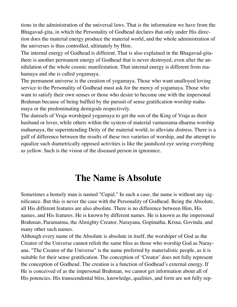tions in the administration of the universal laws. That is the information we have from the Bhagavad-gita, in which the Personality of Godhead declares that only under His direction does the material energy produce the material world, and the whole administration of the universes is thus controlled, ultimately by Him.

The internal energy of Godhead is different. That is also explained in the Bhagavad-gitathere is another permanent energy of Godhead that is never destroyed, even after the annihilation of the whole cosmic manifestation. That internal energy is different from mahamaya and she is called yogamaya.

The permanent universe is the creation of yogamaya. Those who want unalloyed loving service to the Personality of Godhead must ask for the mercy of yogamaya. Those who want to satisfy their own senses or those who desire to become one with the impersonal Brahman because of being baffled by the pursuit of sense gratification worship mahamaya or the predominating demigods respectively.

The damsels of Vraja worshiped yogamaya to get the son of the King of Vraja as their husband or lover, while others within the system of material varnasrama-dharma worship mahamaya, the superintending Deity of the material world, to alleviate distress. There is a gulf of difference between the results of these two varieties of worship, and the attempt to equalize such diametrically opposed activities is like the jaundiced eye seeing everything as yellow. Such is the vision of the diseased person in ignorance.

### <span id="page-31-0"></span>**The Name is Absolute**

Sometimes a homely man is named "Cupid." In such a case, the name is without any significance. But this is never the case with the Personality of Godhead. Being the Absolute, all His different features are also absolute. There is no difference between Him, His names, and His features. He is known by different names. He is known as the impersonal Brahman, Paramatma, the Almighty Creator, Narayana, Gopinatha, Krsna, Govinda, and many other such names.

Although every name of the Absolute is absolute in itself, the worshiper of God as the Creator of the Universe cannot relish the same bliss as those who worship God as Narayana. "The Creator of the Universe" is the name preferred by materialistic people, as it is suitable for their sense gratification. The conception of 'Creator' does not fully represent the conception of Godhead. The creation is a function of Godhead's external energy. If He is conceived of as the impersonal Brahman, we cannot get information about all of His potencies. His transcendental bliss, knowledge, qualities, and form are not fully rep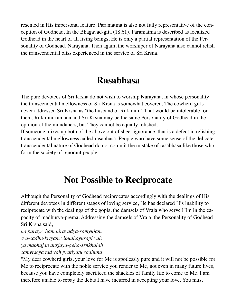resented in His impersonal feature. Paramatma is also not fully representative of the conception of Godhead. In the Bhagavad-gita (18.61), Paramatma is described as localized Godhead in the heart of all living beings; He is only a partial representation of the Personality of Godhead, Narayana. Then again, the worshiper of Narayana also cannot relish the transcendental bliss experienced in the service of Sri Krsna.

#### <span id="page-32-0"></span>**Rasabhasa**

The pure devotees of Sri Krsna do not wish to worship Narayana, in whose personality the transcendental mellowness of Sri Krsna is somewhat covered. The cowherd girls never addressed Sri Krsna as "the husband of Rukmini." That would be intolerable for them. Rukmini-ramana and Sri Krsna may be the same Personality of Godhead in the opinion of the mundaners, but They cannot be equally relished.

If someone mixes up both of the above out of sheer ignorance, that is a defect in relishing transcendental mellowness called rasabhasa. People who have some sense of the delicate transcendental nature of Godhead do not commit the mistake of rasabhasa like those who form the society of ignorant people.

### <span id="page-32-1"></span>**Not Possible to Reciprocate**

Although the Personality of Godhead reciprocates accordingly with the dealings of His different devotees in different stages of loving service, He has declared His inability to reciprocate with the dealings of the gopis, the damsels of Vraja who serve Him in the capacity of madhurya-prema. Addressing the damsels of Vraja, the Personality of Godhead Sri Krsna said,

*na paraye 'ham niravadya-samyujam sva-sadhu-krtyam vibudhayusapi vah ya mabhajan durjaya-geha-srnkhalah samvrscya tad vah pratiyatu sadhuna*

"My dear cowherd girls, your love for Me is spotlessly pure and it will not be possible for Me to reciprocate with the noble service you render to Me, not even in many future lives, because you have completely sacrificed the shackles of family life to come to Me. I am therefore unable to repay the debts I have incurred in accepting your love. You must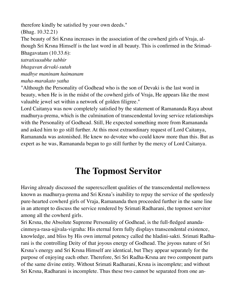therefore kindly be satisfied by your own deeds."

(Bhag. 10.32.21)

The beauty of Sri Krsna increases in the association of the cowherd girls of Vraja, although Sri Krsna Himself is the last word in all beauty. This is confirmed in the Srimad-Bhagavatam (10.33.6):

*tatratisusubhe tabhir bhagavan devaki-sutah madhye maninam haimanam maha-marakato yatha*

"Although the Personality of Godhead who is the son of Devaki is the last word in beauty, when He is in the midst of the cowherd girls of Vraja, He appears like the most valuable jewel set within a network of golden filigree."

Lord Caitanya was now completely satisfied by the statement of Ramananda Raya about madhurya-prema, which is the culmination of transcendental loving service relationships with the Personality of Godhead. Still, He expected something more from Ramananda and asked him to go still further. At this most extraordinary request of Lord Caitanya, Ramananda was astonished. He knew no devotee who could know more than this. But as expert as he was, Ramananda began to go still further by the mercy of Lord Caitanya.

## <span id="page-33-0"></span>**The Topmost Servitor**

Having already discussed the superexcellent qualities of the transcendental mellowness known as madhurya-prema and Sri Krsna's inability to repay the service of the spotlessly pure-hearted cowherd girls of Vraja, Ramananda then proceeded further in the same line in an attempt to discuss the service rendered by Srimati Radharani, the topmost servitor among all the cowherd girls.

Sri Krsna, the Absolute Supreme Personality of Godhead, is the full-fledged anandacinmoya-rasa-ujjvala-vigraha: His eternal form fully displays transcendental existence, knowledge, and bliss by His own internal potency called the hladini-sakti. Srimati Radharani is the controlling Deity of that joyous energy of Godhead. The joyous nature of Sri Krsna's energy and Sri Krsna Himself are identical, but They appear separately for the purpose of enjoying each other. Therefore, Sri Sri Radha-Krsna are two component parts of the same divine entity. Without Srimati Radharani, Krsna is incomplete; and without Sri Krsna, Radharani is incomplete. Thus these two cannot be separated from one an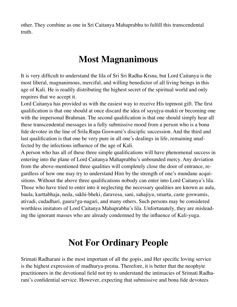other. They combine as one in Sri Caitanya Mahaprabhu to fulfill this transcendental truth.

#### <span id="page-34-0"></span>**Most Magnanimous**

It is very difficult to understand the lila of Sri Sri Radha-Krsna, but Lord Caitanya is the most liberal, magnanimous, merciful, and willing benedictor of all living beings in this age of Kali. He is readily distributing the highest secret of the spiritual world and only requires that we accept it.

Lord Caitanya has provided us with the easiest way to receive His topmost gift. The first qualification is that one should at once discard the idea of sayujya-mukti or becoming one with the impersonal Brahman. The second qualification is that one should simply hear all these transcendental messages in a fully submissive mood from a person who is a bona fide devotee in the line of Srila Rupa Goswami's disciplic succession. And the third and last qualification is that one be very pure in all one's dealings in life, remaining unaffected by the infectious influence of the age of Kali.

A person who has all of these three simple qualifications will have phenomenal success in entering into the plane of Lord Caitanya Mahaprabhu's unbounded mercy. Any deviation from the above-mentioned three qualities will completely close the door of entrance, regardless of how one may try to understand Him by the strength of one's mundane acquisitions. Without the above three qualifications nobody can enter into Lord Caitanya's lila. Those who have tried to enter into it neglecting the necessary qualities are known as aula, baula, karttabhaja, neda, sakhi-bheki, daravesa, sani, sahajiya, smarta, caste goswamis, ativadi, cudadhari, gaura†ga-nagari, and many others. Such persons may be considered worthless imitators of Lord Caitanya Mahaprabhu's lila. Unfortunately, they are misleading the ignorant masses who are already condemned by the influence of Kali-yuga.

#### <span id="page-34-1"></span>**Not For Ordinary People**

Srimati Radharani is the most important of all the gopis, and Her specific loving service is the highest expression of madhurya-prema. Therefore, it is better that the neophyte practitioners in the devotional field not try to understand the intimacies of Srimati Radharani's confidential service. However, expecting that submissive and bona fide devotees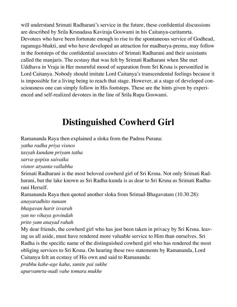will understand Srimati Radharani's service in the future, these confidential discussions are described by Srila Krsnadasa Kaviraja Goswami in his Caitanya-caritamrta. Devotees who have been fortunate enough to rise to the spontaneous service of Godhead, raganuga-bhakti, and who have developed an attraction for madhurya-prema, may follow in the footsteps of the confidential associates of Srimati Radharani and their assistants called the manjaris. The ecstasy that was felt by Srimati Radharani when She met Uddhava in Vraja in Her mournful mood of separation from Sri Krsna is personified in Lord Caitanya. Nobody should imitate Lord Caitanya's transcendental feelings because it is impossible for a living being to reach that stage. However, at a stage of developed consciousness one can simply follow in His footsteps. These are the hints given by experienced and self-realized devotees in the line of Srila Rupa Goswami.

### <span id="page-35-0"></span>**Distinguished Cowherd Girl**

Ramananda Raya then explained a sloka from the Padma Purana:

*yatha radha priya visnos*

*tasyah kundam priyam tatha*

*sarva-gopisu saivaika*

*visnor atyanta-vallabha*

Srimati Radharani is the most beloved cowherd girl of Sri Krsna. Not only Srimati Radharani, but the lake known as Sri Radha-kunda is as dear to Sri Krsna as Srimati Radharani Herself.

Ramananda Raya then quoted another sloka from Srimad-Bhagavatam (10.30.28):

*anayaradhito nunam*

*bhagavan harir isvarah*

*yan no vihaya govindah*

*prito yam anayad rahah*

My dear friends, the cowherd girl who has just been taken in privacy by Sri Krsna. leaving us all aside, must have rendered more valuable service to Him than ourselves. Sri Radha is the specific name of the distinguished cowherd girl who has rendered the most obliging services to Sri Krsna. On hearing these two statements by Ramananda, Lord Caitanya felt an ecstasy of His own and said to Ramananda:

*prabhu kahe-age kaha, sunite pai sukhe apurvamrta-nadi vahe tomara mukhe*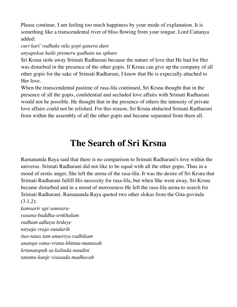Please continue. I am feeling too much happiness by your mode of explanation. It is something like a transcendental river of bliss flowing from your tongue. Lord Caitanya added:

*curi kari' radhake nila gopi-ganera dare anyapeksa haile premera gadhata na sphure*

Sri Krsna stole away Srimati Radharani because the nature of love that He had for Her was disturbed in the presence of the other gopis. If Krsna can give up the company of all other gopis for the sake of Srimati Radharani, I know that He is expecially attached to Her love.

When the transcendental pastime of rasa-lila continued, Sri Krsna thought that in the presence of all the gopis, confidential and secluded love affairs with Srimati Radharani would not be possible. He thought that in the presence of others the intensity of private love affairs could not be relished. For this reason, Sri Krsna abducted Srimati Radharani from within the assembly of all the other gopis and became separated from them all.

### <span id="page-36-0"></span>**The Search of Sri Krsna**

Ramananda Raya said that there is no comparison to Srimati Radharani's love within the universe. Srimati Radharani did not like to be equal with all the other gopis. Thus in a mood of erotic anger, She left the arena of the rasa-lila. It was the desire of Sri Krsna that Srimati Radharani fulfill His necessity for rasa-lila, but when She went away, Sri Krsna became disturbed and in a mood of moroseness He left the rasa-lila arena to search for Srimati Radharani. Ramananda Raya quoted two other slokas from the Gita-govinda  $(3.1,2)$ :

*kamsarir api samsaravasana-baddha-srnkhalam radham adhaya hrdaye tatyaja vraja-sundarih itas-tatas tam anusrtya radhikam ananga-vana-vrana-khinna-manasah krtanutapah sa kalinda-nandini tatanta-kunje visasada madhavah*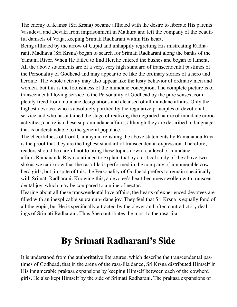The enemy of Kamsa (Sri Krsna) became afflicted with the desire to liberate His parents Vasudeva and Devaki from imprisonment in Mathura and left the company of the beautiful damsels of Vraja, keeping Srimati Radharani within His heart.

Being afflicted by the arrow of Cupid and unhappily regretting His mistreating Radharani, Madhava (Sri Krsna) began to search for Srimati Radharani along the banks of the Yamuna River. When He failed to find Her, he entered the bushes and began to lament. All the above statements are of a very, very high standard of transcendental pastimes of the Personality of Godhead and may appear to be like the ordinary stories of a hero and heroine. The whole activity may also appear like the lusty behavior of ordinary men and women, but this is the foolishness of the mundane conception. The complete picture is of transcendental loving service to the Personality of Godhead by the pure senses, completely freed from mundane designations and cleansed of all mundane affairs. Only the highest devotee, who is absolutely purified by the regulative principles of devotional service and who has attained the stage of realizing the degraded nature of mundane erotic activities, can relish these supramundane affairs, although they are described in language that is understandable to the general populace.

The cheerfulness of Lord Caitanya in relishing the above statements by Ramananda Raya is the proof that they are the highest standard of transcendental expression. Therefore, readers should be careful not to bring these topics down to a level of mundane affairs.Ramananda Raya continued to explain that by a critical study of the above two slokas we can know that the rasa-lila is performed in the company of innumerable cowherd girls, but, in spite of this, the Personality of Godhead prefers to remain specifically with Srimati Radharani. Knowing this, a devotee's heart becomes swollen with transcendental joy, which may be compared to a mine of nectar.

Hearing about all these transcendental love affairs, the hearts of experienced devotees are filled with an inexplicable supramun- dane joy. They feel that Sri Krsna is equally fond of all the gopis, but He is specifically attracted by the clever and often contradictory dealings of Srimati Radharani. Thus She contributes the most to the rasa-lila.

### <span id="page-37-0"></span>**By Srimati Radharani's Side**

It is understood from the authoritative literatures, which describe the transcendental pastimes of Godhead, that in the arena of the rasa-lila dance, Sri Krsna distributed Himself in His innumerable prakasa expansions by keeping Himself between each of the cowherd girls. He also kept Himself by the side of Srimati Radharani. The prakasa expansions of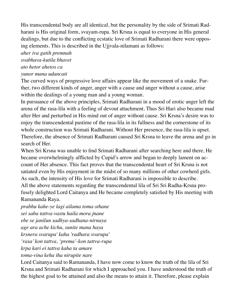His transcendental body are all identical, but the personality by the side of Srimati Radharani is His original form, svayam-rupa. Sri Krsna is equal to everyone in His general dealings, but due to the conflicting ecstatic love of Srimati Radharani there were opposing elements. This is described in the Ujjvala-nilamani as follows:

*aher iva gatih premnah svabhava-kutila bhavet ato hetor ahetos ca yunor mana udancati*

The curved ways of progressive love affairs appear like the movement of a snake. Further, two different kinds of anger, anger with a cause and anger without a cause, arise within the dealings of a young man and a young woman.

In pursuance of the above principles, Srimati Radharani in a mood of erotic anger left the arena of the rasa-lila with a feeling of devout attachment. Thus Sri Hari also became mad after Her and perturbed in His mind out of anger without cause. Sri Krsna's desire was to enjoy the transcendental pastime of the rasa-lila in its fullness and the cornerstone of its whole construction was Srimati Radharani. Without Her presence, the rasa-lila is upset. Therefore, the absence of Srimati Radharani caused Sri Krsna to leave the arena and go in search of Her.

When Sri Krsna was unable to find Srimati Radharani after searching here and there, He became overwhelmingly afflicted by Cupid's arrow and began to deeply lament on account of Her absence. This fact proves that the transcendental heart of Sri Krsna is not satiated even by His enjoyment in the midst of so many millions of other cowherd girls. As such, the intensity of His love for Srimati Radharani is impossible to describe. All the above statements regarding the transcendental lila of Sri Sri Radha-Krsna profusely delighted Lord Caitanya and He became completely satisfied by His meeting with Ramananda Raya.

*prabhu kahe-ye lagi ailama toma-sthane sei saba tattva-vastu haila mora jnane ebe se janilun sadhya-sadhana-nirnaya age ara ache kichu, sunite mana haya krsnera svarupa' kaha 'radhara svarupa' 'rasa' kon tattva, 'prema'-kon tattva-rupa krpa kari ei tattva kaha ta amare*

*toma-vina keha iha nirupite nare*

Lord Caitanya said to Ramananda, I have now come to know the truth of the lila of Sri Krsna and Srimati Radharani for which I approached you. I have understood the truth of the highest goal to be attained and also the means to attain it. Therefore, please explain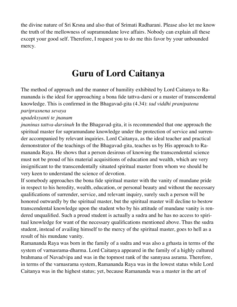the divine nature of Sri Krsna and also that of Srimati Radharani. Please also let me know the truth of the mellowness of supramundane love affairs. Nobody can explain all these except your good self. Therefore, I request you to do me this favor by your unbounded mercy.

### <span id="page-39-0"></span>**Guru of Lord Caitanya**

The method of approach and the manner of humility exhibited by Lord Caitanya to Ramananda is the ideal for approaching a bona fide tattva-darsi or a master of transcendental knowledge. This is confirmed in the Bhagavad-gita (4.34): *tad viddhi pranipatena*

#### *pariprasnena sevaya*

#### *upadeksyanti te jnanam*

*jnaninas tattva-darsinah* In the Bhagavad-gita, it is recommended that one approach the spiritual master for supramundane knowledge under the protection of service and surrender accompanied by relevant inquiries. Lord Caitanya, as the ideal teacher and practical demonstrator of the teachings of the Bhagavad-gita, teaches us by His approach to Ramananda Raya. He shows that a person desirous of knowing the transcendental science must not be proud of his material acquisitions of education and wealth, which are very insignificant to the transcendentally situated spiritual master from whom we should be very keen to understand the science of devotion.

If somebody approaches the bona fide spiritual master with the vanity of mundane pride in respect to his heredity, wealth, education, or personal beauty and without the necessary qualifications of surrender, service, and relevant inquiry, surely such a person will be honored outwardly by the spiritual master, but the spiritual master will decline to bestow transcendental knowledge upon the student who by his attitude of mundane vanity is rendered unqualified. Such a proud student is actually a sudra and he has no access to spiritual knowledge for want of the necessary qualifications mentioned above. Thus the sudra student, instead of availing himself to the mercy of the spiritual master, goes to hell as a result of his mundane vanity.

Ramananda Raya was born in the family of a sudra and was also a grhasta in terms of the system of varnasrama-dharma. Lord Caitanya appeared in the family of a highly cultured brahmana of Navadvipa and was in the topmost rank of the sannyasa asrama. Therefore, in terms of the varnasrama system, Ramananda Raya was in the lowest status while Lord Caitanya was in the highest status; yet, because Ramananda was a master in the art of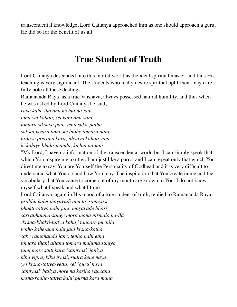transcendental knowledge, Lord Caitanya approached him as one should approach a guru. He did so for the benefit of us all.

#### <span id="page-40-0"></span>**True Student of Truth**

Lord Caitanya descended into this mortal world as the ideal spiritual master, and thus His teaching is very significant. The students who really desire spiritual upliftment may carefully note all these dealings.

Ramananda Raya, as a true Vaisnava, always possessed natural humility, and thus when he was asked by Lord Caitanya he said,

*raya kahe-iha ami kichui na jani*

*tumi yei kahao, sei kahi ami vani*

*tomara siksaya padi yena suka-patha*

*saksat isvara tumi, ke bujhe tomara nata*

*hrdaye prerana kara, jihvaya kahao vani*

*ki kahiye bhala-manda, kichui na jani*

"My Lord, I have no information of the transcendental world but I can simply speak that which You inspire me to utter. I am just like a parrot and I can repeat only that which You direct me to say. You are Yourself the Personality of Godhead and it is very difficult to understand what You do and how You play. The inspiration that You create in me and the vocabulary that You cause to come out of my mouth are known to You. I do not know myself what I speak and what I think."

Lord Caitanya, again in His mood of a true student of truth, replied to Ramananda Raya, *prabhu kahe-mayavadi ami ta' sannyasi*

*bhakti-tattva nahi jani, mayavade bhasi*

*sarvabhauma-sange mora mana nirmala ha-ila*

*'krsna-bhakti-tattva kaha,' tanhare puchila*

*tenho kahe-ami nahi jani krsna-katha*

*sabe ramananda jane, tenho nahi etha*

*tomara thani ailana tomara mahima suniya*

*tumi more stuti kara 'sannyasi' janiya*

*kiba vipra, kiba nyasi, sudra kene naya*

*yei krsna-tattva-vetta, sei 'guru' haya*

*sannyasi' baliya more na kariha vancana*

*krsna-radha-tattva kahi' purna kara mana*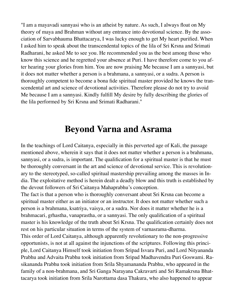"I am a mayavadi sannyasi who is an atheist by nature. As such, I always float on My theory of maya and Brahman without any entrance into devotional science. By the association of Sarvabhauma Bhattacarya, I was lucky enough to get My heart purified. When I asked him to speak about the transcendental topics of the lila of Sri Krsna and Srimati Radharani, he asked Me to see you. He recommended you as the best among those who know this science and he regretted your absence at Puri. I have therefore come to you after hearing your glories from him. You are now praising Me because I am a sannyasi, but it does not matter whether a person is a brahmana, a sannyasi, or a sudra. A person is thoroughly competent to become a bona fide spiritual master provided he knows the transcendental art and science of devotional activities. Therefore please do not try to avoid Me because I am a sannyasi. Kindly fulfill My desire by fully describing the glories of the lila performed by Sri Krsna and Srimati Radharani."

#### <span id="page-41-0"></span>**Beyond Varna and Asrama**

In the teachings of Lord Caitanya, especially in this perverted age of Kali, the passage mentioned above, wherein it says that it does not matter whether a person is a brahmana, sannyasi, or a sudra, is important. The qualification for a spiritual master is that he must be thoroughly conversant in the art and science of devotional service. This is revolutionary to the stereotyped, so-called spiritual mastership prevailing among the masses in India. The exploitative method is herein dealt a deadly blow and this truth is established by the devout followers of Sri Caitanya Mahaprabhu's conception.

The fact is that a person who is thoroughly conversant about Sri Krsna can become a spiritual master either as an initiator or an instructor. It does not matter whether such a person is a brahmana, ksatriya, vaisya, or a sudra. Nor does it matter whether he is a brahmacari, grhastha, vanaprastha, or a sannyasi. The only qualification of a spiritual master is his knowledge of the truth about Sri Krsna. The qualification certainly does not rest on his particular situation in terms of the system of varnasrama-dharma. This order of Lord Caitanya, although apparently revolutionary to the non-progressive opportunists, is not at all against the injunctions of the scriptures. Following this principle, Lord Caitanya Himself took initiation from Sripad Isvara Puri, and Lord Nityananda Prabhu and Advaita Prabhu took initiation from Sripad Madhavendra Puri Goswami. Rasikananda Prabhu took initiation from Srila Shyamananda Prabhu, who appeared in the family of a non-brahmana, and Sri Ganga Narayana Cakravarti and Sri Ramakrsna Bhattacarya took initiation from Srila Narottama dasa Thakura, who also happened to appear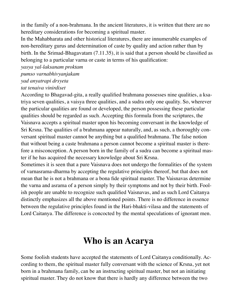in the family of a non-brahmana. In the ancient literatures, it is written that there are no hereditary considerations for becoming a spiritual master.

In the Mahabharata and other historical literatures, there are innumerable examples of non-hereditary gurus and determination of caste by quality and action rather than by birth. In the Srimad-Bhagavatam (7.11.35), it is said that a person should be classified as belonging to a particular varna or caste in terms of his qualification:

*yasya yal-laksanam proktam pumso varnabhivyanjakam yad anyatrapi drsyeta tat tenaiva vinirdiset*

According to Bhagavad-gita, a really qualified brahmana possesses nine qualities, a ksatriya seven qualities, a vaisya three qualities, and a sudra only one quality. So, wherever the particular qualities are found or developed, the person possessing these particular qualities should be regarded as such. Accepting this formula from the scriptures, the Vaisnava accepts a spiritual master upon his becoming conversant in the knowledge of Sri Krsna. The qualities of a brahmana appear naturally, and, as such, a thoroughly conversant spiritual master cannot be anything but a qualified brahmana. The false notion that without being a caste brahmana a person cannot become a spiritual master is therefore a misconception. A person born in the family of a sudra can become a spiritual master if he has acquired the necessary knowledge about Sri Krsna.

Sometimes it is seen that a pure Vaisnava does not undergo the formalities of the system of varnasrama-dharma by accepting the regulative principles thereof, but that does not mean that he is not a brahmana or a bona fide spiritual master. The Vaisnavas determine the varna and asrama of a person simply by their symptoms and not by their birth. Foolish people are unable to recognize such qualified Vaisnavas, and as such Lord Caitanya distinctly emphasizes all the above mentioned points. There is no difference in essence between the regulative principles found in the Hari-bhakti-vilasa and the statements of Lord Caitanya. The difference is concocted by the mental speculations of ignorant men.

### <span id="page-42-0"></span>**Who is an Acarya**

Some foolish students have accepted the statements of Lord Caitanya conditionally. According to them, the spiritual master fully conversant with the science of Krsna, yet not born in a brahmana family, can be an instructing spiritual master, but not an initiating spiritual master. They do not know that there is hardly any difference between the two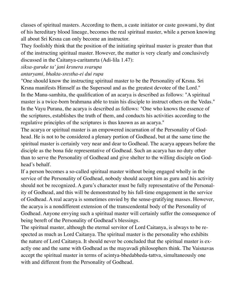classes of spiritual masters. According to them, a caste initiator or caste goswami, by dint of his hereditary blood lineage, becomes the real spiritual master, while a person knowing all about Sri Krsna can only become an instructor.

They foolishly think that the position of the initiating spiritual master is greater than that of the instructing spiritual master. However, the matter is very clearly and conclusively discussed in the Caitanya-caritamrta (Adi-lila 1.47):

#### *siksa-guruke ta' jani krsnera svarupa*

#### *antaryami, bhakta-srestha-ei dui rupa*

"One should know the instructing spiritual master to be the Personality of Krsna. Sri Krsna manifests Himself as the Supersoul and as the greatest devotee of the Lord." In the Manu-samhita, the qualification of an acarya is described as follows: "A spiritual master is a twice-born brahmana able to train his disciple to instruct others on the Vedas." In the Vayu Purana, the acarya is described as follows: "One who knows the essence of the scriptures, establishes the truth of them, and conducts his activities according to the regulative principles of the scriptures is thus known as an acarya."

The acarya or spiritual master is an empowered incarnation of the Personality of Godhead. He is not to be considered a plenary portion of Godhead, but at the same time the spiritual master is certainly very near and dear to Godhead. The acarya appears before the disciple as the bona fide representative of Godhead. Such an acarya has no duty other than to serve the Personality of Godhead and give shelter to the willing disciple on Godhead's behalf.

If a person becomes a so-called spiritual master without being engaged wholly in the service of the Personality of Godhead, nobody should accept him as guru and his activity should not be recognized. A guru's character must be fully representative of the Personality of Godhead, and this will be demonstrated by his full-time engagement in the service of Godhead. A real acarya is sometimes envied by the sense-gratifying masses. However, the acarya is a nondifferent extension of the transcendental body of the Personality of Godhead. Anyone envying such a spiritual master will certainly suffer the consequence of being bereft of the Personality of Godhead's blessings.

The spiritual master, although the eternal servitor of Lord Caitanya, is always to be respected as much as Lord Caitanya. The spiritual master is the personality who exhibits the nature of Lord Caitanya. It should never be concluded that the spiritual master is exactly one and the same with Godhead as the mayavadi philosophers think. The Vaisnavas accept the spiritual master in terms of acintya-bhedabheda-tattva, simultaneously one with and different from the Personality of Godhead.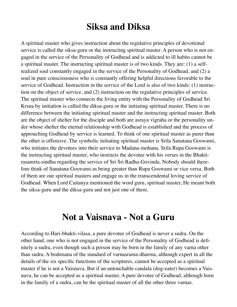### <span id="page-44-0"></span>**Siksa and Diksa**

A spiritual master who gives instruction about the regulative principles of devotional service is called the siksa-guru or the instructing spiritual master. A person who is not engaged in the service of the Personality of Godhead and is addicted to ill habits cannot be a spiritual master. The instructing spiritual master is of two kinds. They are: (1) a selfrealized soul constantly engaged in the service of the Personality of Godhead, and (2) a soul in pure consciousness who is constantly offering helpful directions favorable to the service of Godhead. Instruction in the service of the Lord is also of two kinds: (1) instruction on the object of service, and (2) instruction on the regulative principles of service. The spiritual master who connects the living entity with the Personality of Godhead Sri Krsna by initiation is called the diksa-guru or the initiating spiritual master. There is no difference between the initiating spiritual master and the instructing spiritual master. Both are the object of shelter for the disciple and both are asraya vigraha or the personality under whose shelter the eternal relationship with Godhead is established and the process of approaching Godhead by service is learned. To think of one spiritual master as purer than the other is offensive. The symbolic initiating spiritual master is Srila Sanatana Goswami, who initiates the devotees into their service to Madana-mohana. Srila Rupa Goswami is the instructing spiritual master, who instructs the devotee with his verses in the Bhaktirasamrta-sindhu regarding the service of Sri Sri Radha-Govinda. Nobody should therefore think of Sanatana Goswami as being greater than Rupa Goswami or vice versa. Both of them are our spiritual masters and engage us in the transcendental loving service of Godhead. When Lord Caitanya mentioned the word guru, spiritual master, He meant both the siksa-guru and the diksa-guru and not just one of them.

#### <span id="page-44-1"></span>**Not a Vaisnava - Not a Guru**

According to Hari-bhakti-vilasa, a pure devotee of Godhead is never a sudra. On the other hand, one who is not engaged in the service of the Personality of Godhead is definitely a sudra, even though such a person may be born in the family of any varna other than sudra. A brahmana of the standard of varnasrama-dharma, although expert in all the details of the six specific functions of the scriptures, cannot be accepted as a spiritual master if he is not a Vaisnava. But if an untouchable candala (dog-eater) becomes a Vaisnava, he can be accepted as a spiritual master. A pure devotee of Godhead, although born in the family of a sudra, can be the spiritual master of all the other three varnas.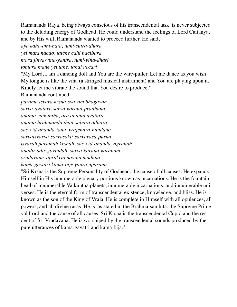Ramananda Raya, being always conscious of his transcendental task, is never subjected to the deluding energy of Godhead. He could understand the feelings of Lord Caitanya, and by His will, Ramananda wanted to proceed further. He said,

*aya kahe-ami-nata, tumi-sutra-dhara yei mata nacao, taiche cahi nacibara mora jihva-vina-yantra, tumi-vina-dhari tomara mane yei uthe, tahai uccari*

"My Lord, I am a dancing doll and You are the wire-puller. Let me dance as you wish. My tongue is like the vina (a stringed musical instrument) and You are playing upon it. Kindly let me vibrate the sound that You desire to produce."

Ramananda continued:

*parama isvara krsna-svayam bhagavan sarva-avatari, sarva-karana-pradhana ananta vaikuntha, ara ananta avatara ananta brahmanda ihan-sabara adhara sac-cid-ananda-tanu, vrajendra-nandana sarvaisvarya-sarvasakti-sarvarasa-purna isvarah paramah krsnah, sac-cid-ananda-vigrahah anadir adir govindah, sarva-karana-karanam vrndavane 'aprakrta navina madana' kama-gayatri kama-bije yanra upasana*

"Sri Krsna is the Supreme Personality of Godhead, the cause of all causes. He expands Himself in His innumerable plenary portions known as incarnations. He is the fountainhead of innumerable Vaikuntha planets, innumerable incarnations, and innumerable universes. He is the eternal form of transcendental existence, knowledge, and bliss. He is known as the son of the King of Vraja. He is complete in Himself with all opulences, all powers, and all divine rasas. He is, as stated in the Brahma-samhita, the Supreme Primeval Lord and the cause of all causes. Sri Krsna is the transcendental Cupid and the resident of Sri Vrndavana. He is worshiped by the transcendental sounds produced by the pure utterances of kama-gayatri and kama-bija."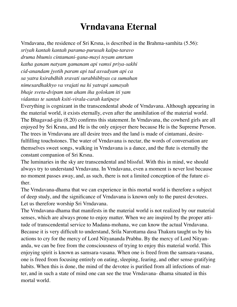### <span id="page-46-0"></span>**Vrndavana Eternal**

Vrndavana, the residence of Sri Krsna, is described in the Brahma-samhita (5.56): *sriyah kantah kantah parama-purusah kalpa-taravo druma bhumis cintamani-gana-mayi toyam amrtam katha ganam natyam gamanam api vamsi priya-sakhi cid-anandam jyotih param api tad asvadyam api ca sa yatra ksirabdhih sravati surabhibhyas ca sumahan nimesardhakhyo va vrajati na hi yatrapi samayah bhaje sveta-dvipam tam aham iha golokam iti yam vidantas te santah ksiti-virala-carah katipaye*

Everything is cognizant in the transcendental abode of Vrndavana. Although appearing in the material world, it exists eternally, even after the annihilation of the material world. The Bhagavad-gita (8.20) confirms this statement. In Vrndavana, the cowherd girls are all enjoyed by Sri Krsna, and He is the only enjoyer there because He is the Supreme Person. The trees in Vrndavana are all desire trees and the land is made of cintamani, desirefulfilling touchstones. The water of Vrndavana is nectar, the words of conversation are themselves sweet songs, walking in Vrndavana is a dance, and the flute is eternally the constant companion of Sri Krsna.

The luminaries in the sky are transcendental and blissful. With this in mind, we should always try to understand Vrndavana. In Vrndavana, even a moment is never lost because no moment passes away, and, as such, there is not a limited conception of the future either.

The Vrndavana-dhama that we can experience in this mortal world is therefore a subject of deep study, and the significance of Vrndavana is known only to the purest devotees. Let us therefore worship Sri Vrndavana.

The Vrndavana-dhama that manifests in the material world is not realized by our material senses, which are always prone to enjoy matter. When we are inspired by the proper attitude of transcendental service to Madana-mohana, we can know the actual Vrndavana. Because it is very difficult to understand, Srila Narottama dasa Thakura taught us by his actions to cry for the mercy of Lord Nityananda Prabhu. By the mercy of Lord Nityananda, we can be free from the consciousness of trying to enjoy this material world. This enjoying spirit is known as samsara-vasana. When one is freed from the samsara-vasana, one is freed from focusing entirely on eating, sleeping, fearing, and other sense-gratifying habits. When this is done, the mind of the devotee is purified from all infections of matter, and in such a state of mind one can see the true Vrndavana- dhama situated in this mortal world.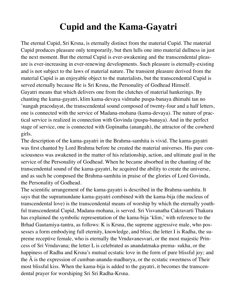### <span id="page-47-0"></span>**Cupid and the Kama-Gayatri**

The eternal Cupid, Sri Krsna, is eternally distinct from the material Cupid. The material Cupid produces pleasure only temporarily, but then lulls one into material dullness in just the next moment. But the eternal Cupid is ever-awakening and the transcendental pleasure is ever-increasing in ever-renewing developments. Such pleasure is eternally-existing and is not subject to the laws of material nature. The transient pleasure derived from the material Cupid is an enjoyable object to the materialists, but the transcendental Cupid is served eternally because He is Sri Krsna, the Personality of Godhead Himself. Gayatri means that which delivers one from the clutches of material hankerings. By chanting the kama-gayatri, klim kama-devaya vidmahe puspa-banaya dhimahi tan no 'nangah pracodayat, the transcendental sound composed of twenty-four and a half letters, one is connected with the service of Madana-mohana (kama-devaya). The nature of practical service is realized in connection with Govinda (puspa-banaya). And in the perfect stage of service, one is connected with Gopinatha (anangah), the attractor of the cowherd girls.

The description of the kama-gayatri in the Brahma-samhita is vivid. The kama-gayatri was first chanted by Lord Brahma before he created the material universes. His pure consciousness was awakened in the matter of his relationship, action, and ultimate goal in the service of the Personality of Godhead. When he became absorbed in the chanting of the transcendental sound of the kama-gayatri, he acquired the ability to create the universe, and as such he composed the Brahma-samhita in praise of the glories of Lord Govinda, the Personality of Godhead.

The scientific arrangement of the kama-gayatri is described in the Brahma-samhita. It says that the supramundane kama-gayatri combined with the kama-bija (the nucleus of transcendental love) is the transcendental means of worship by which the eternally youthful transcendental Cupid, Madana-mohana, is served. Sri Visvanatha Cakravarti Thakura has explained the symbolic representation of the kama-bija 'klim,' with reference to the Brhad Gautamiya-tantra, as follows: K is Krsna, the supreme aggressive male, who possesses a form embodying full eternity, knowledge, and bliss; the letter I is Radha, the supreme receptive female, who is eternally the Vrndavanesvari, or the most majestic Princess of Sri Vrndavana; the letter L is celebrated as anandatmaka-prema- sukha, or the happiness of Radha and Krsna's mutual ecstatic love in the form of pure blissful joy; and the A is the expression of cumban-ananda-madhurya, or the ecstatic sweetness of Their most blissful kiss. When the kama-bija is added to the gayatri, it becomes the transcendental prayer for worshiping Sri Sri Radha-Krsna.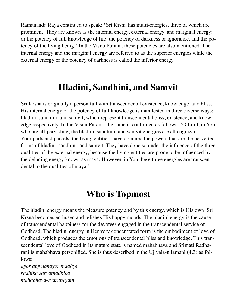Ramananda Raya continued to speak: "Sri Krsna has multi-energies, three of which are prominent. They are known as the internal energy, external energy, and marginal energy; or the potency of full knowledge of life, the potency of darkness or ignorance, and the potency of the living being." In the Visnu Purana, these potencies are also mentioned. The internal energy and the marginal energy are referred to as the superior energies while the external energy or the potency of darkness is called the inferior energy.

### <span id="page-48-0"></span>**Hladini, Sandhini, and Samvit**

Sri Krsna is originally a person full with transcendental existence, knowledge, and bliss. His internal energy or the potency of full knowledge is manifested in three diverse ways: hladini, sandhini, and samvit, which represent transcendental bliss, existence, and knowledge respectively. In the Visnu Purana, the same is confirmed as follows: "O Lord, in You who are all-pervading, the hladini, sandhini, and samvit energies are all cognizant. Your parts and parcels, the living entities, have obtained the powers that are the perverted forms of hladini, sandhini, and samvit. They have done so under the influence of the three qualities of the external energy, because the living entities are prone to be influenced by the deluding energy known as maya. However, in You these three energies are transcendental to the qualities of maya."

#### <span id="page-48-1"></span>**Who is Topmost**

The hladini energy means the pleasure potency and by this energy, which is His own, Sri Krsna becomes enthused and relishes His happy moods. The hladini energy is the cause of transcendental happiness for the devotees engaged in the transcendental service of Godhead. The hladini energy in Her very concentrated form is the embodiment of love of Godhead, which produces the emotions of transcendental bliss and knowledge. This transcendental love of Godhead in its mature state is named mahabhava and Srimati Radharani is mahabhava personified. She is thus described in the Ujjvala-nilamani (4.3) as follows:

*ayor apy ubhayor madhye radhika sarvathadhika mahabhava-svarupeyam*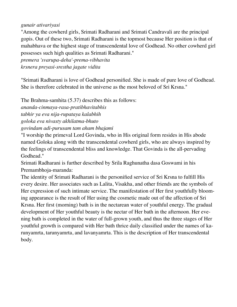#### *gunair ativariyasi*

"Among the cowherd girls, Srimati Radharani and Srimati Candravali are the principal gopis. Out of these two, Srimati Radharani is the topmost because Her position is that of mahabhava or the highest stage of transcendental love of Godhead. No other cowherd girl possesses such high qualities as Srimati Radharani."

*premera 'svarupa-deha'-prema-vibhavita krsnera preyasi-srestha jagate vidita*

"Srimati Radharani is love of Godhead personified. She is made of pure love of Godhead. She is therefore celebrated in the universe as the most beloved of Sri Krsna."

The Brahma-samhita (5.37) describes this as follows:

*ananda-cinmaya-rasa-pratibhavitabhis*

*tabhir ya eva nija-rupataya kalabhih*

*goloka eva nivasty akhilatma-bhuto*

*govindam adi-purusam tam aham bhajami*

"I worship the primeval Lord Govinda, who in His original form resides in His abode named Goloka along with the transcendental cowherd girls, who are always inspired by the feelings of transcendental bliss and knowledge. That Govinda is the all-pervading Godhead."

Srimati Radharani is further described by Srila Raghunatha dasa Goswami in his Premambhoja-maranda:

The identity of Srimati Radharani is the personified service of Sri Krsna to fulfill His every desire. Her associates such as Lalita, Visakha, and other friends are the symbols of Her expression of such intimate service. The manifestation of Her first youthfully blooming appearance is the result of Her using the cosmetic made out of the affection of Sri Krsna. Her first (morning) bath is in the nectarean water of youthful energy. The gradual development of Her youthful beauty is the nectar of Her bath in the afternoon. Her evening bath is completed in the water of full-grown youth, and thus the three stages of Her youthful growth is compared with Her bath thrice daily classified under the names of karunyamrta, tarunyamrta, and lavanyamrta. This is the description of Her transcendental body.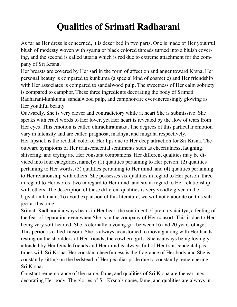## <span id="page-50-0"></span>**Qualities of Srimati Radharani**

As far as Her dress is concerned, it is described in two parts. One is made of Her youthful blush of modesty woven with syama or black colored threads turned into a bluish covering, and the second is called uttaria which is red due to extreme attachment for the company of Sri Krsna.

Her breasts are covered by Her sari in the form of affection and anger toward Krsna. Her personal beauty is compared to kunkuma (a special kind of cosmetic) and Her friendship with Her associates is compared to sandalwood pulp. The sweetness of Her calm sobriety is compared to camphor. These three ingredients decorating the body of Srimati Radharani-kunkuma, sandalwood pulp, and camphor-are ever-increasingly glowing as Her youthful beauty.

Outwardly, She is very clever and contradictory while at heart She is submissive. She speaks with cruel words to Her lover, yet Her heart is revealed by the flow of tears from Her eyes. This emotion is called dhiradhiratmaka. The degrees of this particular emotion vary in intensity and are called praghosa, madhya, and mugdha respectively.

Her lipstick is the reddish color of Her lips due to Her deep attraction for Sri Krsna. The outward symptoms of Her transcendental sentiments such as cheerfulness, laughing, shivering, and crying are Her constant companions. Her different qualities may be divided into four categories, namely: (1) qualities pertaining to Her person, (2) qualities pertaining to Her words, (3) qualities pertaining to Her mind, and (4) qualities pertaining to Her relationship with others. She possesses six qualities in regard to Her person, three in regard to Her words, two in regard to Her mind, and six in regard to Her relationship with others. The description of these different qualities is very vividly given in the Ujjvala-nilamani. To avoid expansion of this literature, we will not elaborate on this subject at this time.

Srimati Radharani always bears in Her heart the sentiment of prema-vaicittya, a feeling of the fear of separation even when She is in the company of Her consort. This is due to Her being very soft-hearted. She is eternally a young girl between 16 and 20 years of age. This period is called kaisora. She is always accustomed to moving along with Her hands resting on the shoulders of Her friends, the cowherd girls. She is always being lovingly attended by Her female friends and Her mind is always full of Her transcendental pastimes with Sri Krsna. Her constant cheerfulness is the fragrance of Her body and She is constantly sitting on the bedstead of Her peculiar pride due to constantly remembering Sri Krsna.

Constant remembrance of the name, fame, and qualities of Sri Krsna are the earrings decorating Her body. The glories of Sri Krsna's name, fame, and qualities are always in-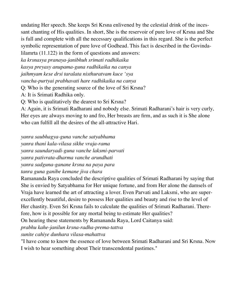undating Her speech. She keeps Sri Krsna enlivened by the celestial drink of the incessant chanting of His qualities. In short, She is the reservoir of pure love of Krsna and She is full and complete with all the necessary qualifications in this regard. She is the perfect symbolic representation of pure love of Godhead. This fact is described in the Govindalilamrta (11.122) in the form of questions and answers:

*ka krsnasya pranaya-janibhuh srimati radhikaika kasya preyasy anupama-guna radhikaika na canya jaihmyam kese drsi taralata nisthuratvam kuce 'sya vancha-purtyai prabhavati hare radhikaika na canya*

Q: Who is the generating source of the love of Sri Krsna?

A: It is Srimati Radhika only.

Q: Who is qualitatively the dearest to Sri Krsna?

A: Again, it is Srimati Radharani and nobody else. Srimati Radharani's hair is very curly, Her eyes are always moving to and fro, Her breasts are firm, and as such it is She alone who can fulfill all the desires of the all-attractive Hari.

*yanra saubhagya-guna vanche satyabhama*

*yanra thani kala-vilasa sikhe vraja-rama*

*yanra saundaryadi-guna vanche laksmi-parvati*

*yanra pativrata-dharma vanche arundhati*

*yanra sadguna-ganane krsna na paya para*

*tanra guna ganibe kemane jiva chara*

Ramananda Raya concluded the descriptive qualities of Srimati Radharani by saying that She is envied by Satyabhama for Her unique fortune, and from Her alone the damsels of Vraja have learned the art of attracting a lover. Even Parvati and Laksmi, who are superexcellently beautiful, desire to possess Her qualities and beauty and rise to the level of Her chastity. Even Sri Krsna fails to calculate the qualities of Srimati Radharani. Therefore, how is it possible for any mortal being to estimate Her qualities?

On hearing these statements by Ramananda Raya, Lord Caitanya said:

*prabhu kahe-janilun krsna-radha-prema-tattva*

*sunite cahiye dunhara vilasa-mahattva*

"I have come to know the essence of love between Srimati Radharani and Sri Krsna. Now I wish to hear something about Their transcendental pastimes."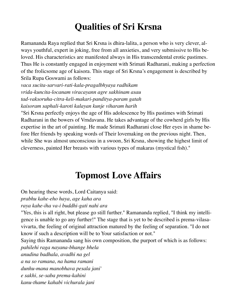### <span id="page-52-0"></span>**Qualities of Sri Krsna**

Ramananda Raya replied that Sri Krsna is dhira-lalita, a person who is very clever, always youthful, expert in joking, free from all anxieties, and very submissive to His beloved. His characteristics are manifested always in His transcendental erotic pastimes. Thus He is constantly engaged in enjoyment with Srimati Radharani, making a perfection of the frolicsome age of kaisora. This stage of Sri Krsna's engagement is described by Srila Rupa Goswami as follows:

*vaca sucita-sarvari-rati-kala-pragalbhyaya radhikam vrida-kuncita-locanam viracayann agre sakhinam asau tad-vaksoruha-citra-keli-makari-panditya-param gatah kaisoram saphali-karoti kalayan kunje viharam harih*

"Sri Krsna perfectly enjoys the age of His adolescence by His pastimes with Srimati Radharani in the bowers of Vrndavana. He takes advantage of the cowherd girls by His expertise in the art of painting. He made Srimati Radharani close Her eyes in shame before Her friends by speaking words of Their lovemaking on the previous night. Then, while She was almost unconscious in a swoon, Sri Krsna, showing the highest limit of cleverness, painted Her breasts with various types of makaras (mystical fish)."

## <span id="page-52-1"></span>**Topmost Love Affairs**

On hearing these words, Lord Caitanya said:

*prabhu kahe-eho haya, age kaha ara*

*raya kahe-iha va-i buddhi-gati nahi ara*

"Yes, this is all right, but please go still further." Ramananda replied, "I think my intelligence is unable to go any further!" The stage that is yet to be described is prema-vilasavivarta, the feeling of original attraction matured by the feeling of separation. "I do not know if such a description will be to Your satisfaction or not."

Saying this Ramananda sang his own composition, the purport of which is as follows: *pahilehi raga nayana-bhange bhela anudina badhala, avadhi na gel*

*a na so ramana, na hama ramani*

*dunhu-mana manobhava pesala jani'*

*e sakhi, se-saba prema-kahini*

*kanu-thame kahabi vichurala jani*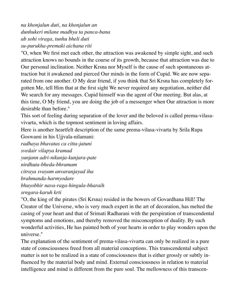*na khonjalun duti, na khonjalun an dunhukeri milane madhya ta panca-bana ab sohi viraga, tunhu bheli duti su-purukha-premaki aichana riti*

"O, when We first met each other, the attraction was awakened by simple sight, and such attraction knows no bounds in the course of its growth, because that attraction was due to Our personal inclination. Neither Krsna nor Myself is the cause of such spontaneous attraction but it awakened and pierced Our minds in the form of Cupid. We are now separated from one another. O My dear friend, if you think that Sri Krsna has completely forgotten Me, tell Him that at the first sight We never required any negotiation, neither did We search for any messages. Cupid himself was the agent of Our meeting. But alas, at this time, O My friend, you are doing the job of a messenger when Our attraction is more desirable than before."

This sort of feeling during separation of the lover and the beloved is called prema-vilasavivarta, which is the topmost sentiment in loving affairs.

Here is another heartfelt description of the same prema-vilasa-vivarta by Srila Rupa Goswami in his Ujjvala-nilamani:

*radhaya bhavatas ca citta-jatuni svedair vilapya kramad yunjann adri-nikunja-kunjara-pate nirdhuta-bheda-bhramam citraya svayam anvaranjayad iha brahmanda-harmyodare bhuyobhir nava-raga-hingula-bharaih srngara-karuh krti*

"O, the king of the pirates (Sri Krsna) resided in the bowers of Govardhana Hill! The Creator of the Universe, who is very much expert in the art of decoration, has melted the casing of your heart and that of Srimati Radharani with the perspiration of transcendental symptoms and emotions, and thereby removed the misconception of duality. By such wonderful activities, He has painted both of your hearts in order to play wonders upon the universe."

The explanation of the sentiment of prema-vilasa-vivarta can only be realized in a pure state of consciousness freed from all material conceptions. This transcendental subject matter is not to be realized in a state of consciousness that is either grossly or subtly influenced by the material body and mind. External consciousness in relation to material intelligence and mind is different from the pure soul. The mellowness of this transcen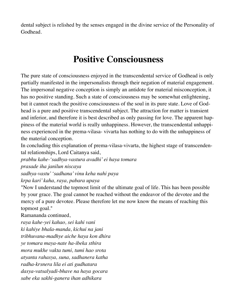dental subject is relished by the senses engaged in the divine service of the Personality of Godhead.

### <span id="page-54-0"></span>**Positive Consciousness**

The pure state of consciousness enjoyed in the transcendental service of Godhead is only partially manifested in the impersonalists through their negation of material engagement. The impersonal negative conception is simply an antidote for material misconception, it has no positive standing. Such a state of consciousness may be somewhat enlightening, but it cannot reach the positive consciousness of the soul in its pure state. Love of Godhead is a pure and positive transcendental subject. The attraction for matter is transient and inferior, and therefore it is best described as only passing for love. The apparent happiness of the material world is really unhappiness. However, the transcendental unhappiness experienced in the prema-vilasa- vivarta has nothing to do with the unhappiness of the material conception.

In concluding this explanation of prema-vilasa-vivarta, the highest stage of transcendental relationships, Lord Caitanya said,

*prabhu kahe-'sadhya-vastura avadhi' ei haya tomara*

*prasade iha janilun niscaya*

*sadhya-vastu' 'sadhana' vinu keha nahi paya*

*krpa kari' kaha, raya, pabara upaya*

"Now I understand the topmost limit of the ultimate goal of life. This has been possible by your grace. The goal cannot be reached without the endeavor of the devotee and the mercy of a pure devotee. Please therefore let me now know the means of reaching this topmost goal."

Ramananda continued,

*raya kahe-yei kahao, sei kahi vani ki kahiye bhala-manda, kichui na jani tribhuvana-madhye aiche haya kon dhira ye tomara maya-nate ha-ibeka sthira mora mukhe vakta tumi, tumi hao srota atyanta rahasya, suna, sadhanera katha radha-krsnera lila ei ati gudhatara dasya-vatsalyadi-bhave na haya gocara sabe eka sakhi-ganera ihan adhikara*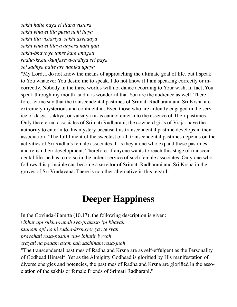*sakhi haite haya ei lilara vistara sakhi vina ei lila pusta nahi haya sakhi lila vistariya, sakhi asvadaya sakhi vina ei lilaya anyera nahi gati sakhi-bhave ye tanre kare anugati radha-krsna-kunjaseva-sadhya sei paya sei sadhya paite are nahika upaya*

"My Lord, I do not know the means of approaching the ultimate goal of life, but I speak to You whatever You desire me to speak. I do not know if I am speaking correctly or incorrectly. Nobody in the three worlds will not dance according to Your wish. In fact, You speak through my mouth, and it is wonderful that You are the audience as well. Therefore, let me say that the transcendental pastimes of Srimati Radharani and Sri Krsna are extremely mysterious and confidential. Even those who are ardently engaged in the service of dasya, sakhya, or vatsalya rasas cannot enter into the essence of Their pastimes. Only the eternal associates of Srimati Radharani, the cowherd girls of Vraja, have the authority to enter into this mystery because this transcendental pastime develops in their association. "The fulfillment of the sweetest of all transcendental pastimes depends on the activities of Sri Radha's female associates. It is they alone who expand these pastimes and relish their development. Therefore, if anyone wants to reach this stage of transcendental life, he has to do so in the ardent service of such female associates. Only one who follows this principle can become a servitor of Srimati Radharani and Sri Krsna in the groves of Sri Vrndavana. There is no other alternative in this regard."

#### <span id="page-55-0"></span>**Deeper Happiness**

In the Govinda-lilamrta (10.17), the following description is given:

*vibhur api sukha-rupah sva-prakaso 'pi bhavah*

*ksanam api na hi radha-krsnayor ya rte svah*

*pravahati rasa-pustim cid-vibhutir ivesah*

*srayati na padam asam kah sakhinam rasa-jnah*

"The transcendental pastimes of Radha and Krsna are as self-effulgent as the Personality of Godhead Himself. Yet as the Almighty Godhead is glorified by His manifestation of diverse energies and potencies, the pastimes of Radha and Krsna are glorified in the association of the sakhis or female friends of Srimati Radharani."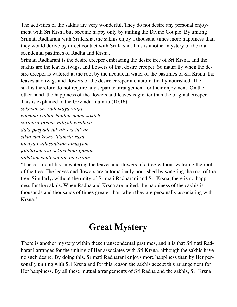The activities of the sakhis are very wonderful. They do not desire any personal enjoyment with Sri Krsna but become happy only by uniting the Divine Couple. By uniting Srimati Radharani with Sri Krsna, the sakhis enjoy a thousand times more happiness than they would derive by direct contact with Sri Krsna. This is another mystery of the transcendental pastimes of Radha and Krsna.

Srimati Radharani is the desire creeper embracing the desire tree of Sri Krsna, and the sakhis are the leaves, twigs, and flowers of that desire creeper. So naturally when the desire creeper is watered at the root by the nectarean water of the pastimes of Sri Krsna, the leaves and twigs and flowers of the desire creeper are automatically nourished. The sakhis therefore do not require any separate arrangement for their enjoyment. On the other hand, the happiness of the flowers and leaves is greater than the original creeper. This is explained in the Govinda-lilamrta (10.16):

*sakhyah sri-radhikaya vraja-*

*kumuda-vidhor hladini-nama-sakteh*

*saramsa-prema-vallyah kisalaya-*

*dala-puspadi-tulyah sva-tulyah*

*siktayam krsna-lilamrta-rasa-*

*nicayair ullasantyam amusyam*

*jatollasah sva-sekacchata-gunam*

*adhikam santi yat tan na citram*

"There is no utility in watering the leaves and flowers of a tree without watering the root of the tree. The leaves and flowers are automatically nourished by watering the root of the tree. Similarly, without the unity of Srimati Radharani and Sri Krsna, there is no happiness for the sakhis. When Radha and Krsna are united, the happiness of the sakhis is thousands and thousands of times greater than when they are personally associating with Krsna."

## <span id="page-56-0"></span>**Great Mystery**

There is another mystery within these transcendental pastimes, and it is that Srimati Radharani arranges for the uniting of Her associates with Sri Krsna, although the sakhis have no such desire. By doing this, Srimati Radharani enjoys more happiness than by Her personally uniting with Sri Krsna and for this reason the sakhis accept this arrangement for Her happiness. By all these mutual arrangements of Sri Radha and the sakhis, Sri Krsna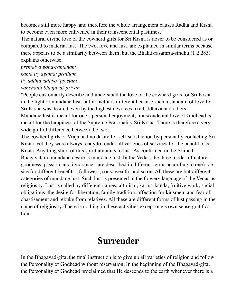becomes still more happy, and therefore the whole arrangement causes Radha and Krsna to become even more enlivened in their transcendental pastimes.

The natural divine love of the cowherd girls for Sri Krsna is never to be considered as or compared to material lust. The two, love and lust, are explained in similar terms because there appears to be a similarity between them, but the Bhakti-rasamrta-sindhu (1.2.285) explains otherwise:

*premaiva gopa-ramanam kama ity agamat pratham ity uddhavadayo 'py etam vanchanti bhagavat-priyah*

"People customarily describe and understand the love of the cowherd girls for Sri Krsna in the light of mundane lust, but in fact it is different because such a standard of love for Sri Krsna was desired even by the highest devotees like Uddhava and others."

Mundane lust is meant for one's personal enjoyment; transcendental love of Godhead is meant for the happiness of the Supreme Personality Sri Krsna. There is therefore a very wide gulf of difference between the two.

The cowherd girls of Vraja had no desire for self-satisfaction by personally contacting Sri Krsna, yet they were always ready to render all varieties of services for the benefit of Sri Krsna. Anything short of this spirit amounts to lust. As confirmed in the Srimad-Bhagavatam, mundane desire is mundane lust. In the Vedas, the three modes of nature goodness, passion, and ignorance - are described in different terms according to one's desire for different benefits - followers, sons, wealth, and so on. All these are but different categories of mundane lust. Such lust is presented in the flowery language of the Vedas as religiosity. Lust is called by different names: altruism, karma-kanda, fruitive work, social obligations, the desire for liberation, family tradition, affection for kinsmen, and fear of chastisement and rebuke from relatives. All these are different forms of lust passing in the name of religiosity. There is nothing in these activities except one's own sense gratification.

#### <span id="page-57-0"></span>**Surrender**

In the Bhagavad-gita, the final instruction is to give up all varieties of religion and follow the Personality of Godhead without reservation. In the beginning of the Bhagavad-gita, the Personality of Godhead proclaimed that He descends to the earth whenever there is a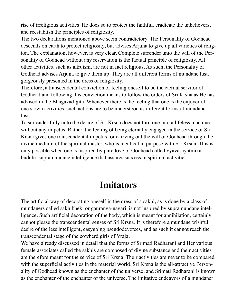rise of irreligious activities. He does so to protect the faithful, eradicate the unbelievers, and reestablish the principles of religiosity.

The two declarations mentioned above seem contradictory. The Personality of Godhead descends on earth to protect religiosity, but advises Arjuna to give up all varieties of religion. The explanation, however, is very clear. Complete surrender unto the will of the Personality of Godhead without any reservation is the factual principle of religiosity. All other activities, such as altruism, are not in fact religious. As such, the Personality of Godhead advises Arjuna to give them up. They are all different forms of mundane lust, gorgeously presented in the dress of religiosity.

Therefore, a transcendental conviction of feeling oneself to be the eternal servitor of Godhead and following this conviction means to follow the orders of Sri Krsna as He has advised in the Bhagavad-gita. Whenever there is the feeling that one is the enjoyer of one's own activities, such actions are to be understood as different forms of mundane lust.

To surrender fully unto the desire of Sri Krsna does not turn one into a lifeless machine without any impetus. Rather, the feeling of being eternally engaged in the service of Sri Krsna gives one transcendental impetus for carrying out the will of Godhead through the divine medium of the spiritual master, who is identical in purpose with Sri Krsna. This is only possible when one is inspired by pure love of Godhead called vyavasayatmikabuddhi, supramundane intelligence that assures success in spiritual activities.

#### <span id="page-58-0"></span>**Imitators**

The artificial way of decorating oneself in the dress of a sakhi, as is done by a class of mundaners called sakhibheki or gauranga-nagari, is not inspired by supramundane intelligence. Such artificial decoration of the body, which is meant for annihilation, certainly cannot please the transcendental senses of Sri Krsna. It is therefore a mundane wishful desire of the less intelligent, easygoing pseudodevotees, and as such it cannot reach the transcendental stage of the cowherd girls of Vraja.

We have already discussed in detail that the forms of Srimati Radharani and Her various female associates called the sakhis are composed of divine substance and their activities are therefore meant for the service of Sri Krsna. Their activities are never to be compared with the superficial activities in the material world. Sri Krsna is the all-attractive Personality of Godhead known as the enchanter of the universe, and Srimati Radharani is known as the enchanter of the enchanter of the universe. The imitative endeavors of a mundaner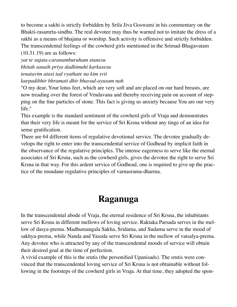to become a sakhi is strictly forbidden by Srila Jiva Goswami in his commentary on the Bhakti-rasamrta-sindhu. The real devotee may thus be warned not to imitate the dress of a sakhi as a means of bhajana or worship. Such activity is offensive and strictly forbidden. The transcendental feelings of the cowherd girls mentioned in the Srimad-Bhagavatam (10.31.19) are as follows:

*yat te sujata-caranamburuham stanesu bhitah sanaih priya dadhimahi karkasesu tenatavim atasi tad vyathate na kim svit kurpadibhir bhramati dhir bhavad-ayusam nah*

"O my dear, Your lotus feet, which are very soft and are placed on our hard breasts, are now treading over the forest of Vrndavana and thereby receiving pain on account of stepping on the fine particles of stone. This fact is giving us anxiety because You are our very life."

This example is the standard sentiment of the cowherd girls of Vraja and demonstrates that their very life is meant for the service of Sri Krsna without any tinge of an idea for sense gratification.

There are 64 different items of regulative devotional service. The devotee gradually develops the right to enter into the transcendental service of Godhead by implicit faith in the observance of the regulative principles. The intense eagerness to serve like the eternal associates of Sri Krsna, such as the cowherd girls, gives the devotee the right to serve Sri Krsna in that way. For this ardent service of Godhead, one is required to give up the practice of the mundane regulative principles of varnasrama-dharma.

### <span id="page-59-0"></span>**Raganuga**

In the transcendental abode of Vraja, the eternal residence of Sri Krsna, the inhabitants serve Sri Krsna in different mellows of loving service. Raktaka Parsada serves in the mellow of dasya-prema. Madhumangala Sakha, Sridama, and Sudama serve in the mood of sakhya-prema, while Nanda and Yasoda serve Sri Krsna in the mellow of vatsalya-prema. Any devotee who is attracted by any of the transcendental moods of service will obtain their desired goal at the time of perfection.

A vivid example of this is the srutis (the personified Upanisads). The srutis were convinced that the transcendental loving service of Sri Krsna is not obtainable without following in the footsteps of the cowherd girls in Vraja. At that time, they adopted the spon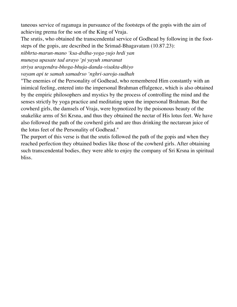taneous service of raganuga in pursuance of the footsteps of the gopis with the aim of achieving prema for the son of the King of Vraja.

The srutis, who obtained the transcendental service of Godhead by following in the footsteps of the gopis, are described in the Srimad-Bhagavatam (10.87.23):

*nibhrta-marun-mano 'ksa-drdha-yoga-yujo hrdi yan munaya upasate tad arayo 'pi yayuh smaranat striya uragendra-bhoga-bhuja-danda-visakta-dhiyo vayam api te samah samadrso 'nghri-saroja-sudhah*

"The enemies of the Personality of Godhead, who remembered Him constantly with an inimical feeling, entered into the impersonal Brahman effulgence, which is also obtained by the empiric philosophers and mystics by the process of controlling the mind and the senses strictly by yoga practice and meditating upon the impersonal Brahman. But the cowherd girls, the damsels of Vraja, were hypnotized by the poisonous beauty of the snakelike arms of Sri Krsna, and thus they obtained the nectar of His lotus feet. We have also followed the path of the cowherd girls and are thus drinking the nectarean juice of the lotus feet of the Personality of Godhead."

The purport of this verse is that the srutis followed the path of the gopis and when they reached perfection they obtained bodies like those of the cowherd girls. After obtaining such transcendental bodies, they were able to enjoy the company of Sri Krsna in spiritual bliss.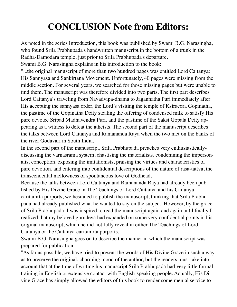## <span id="page-61-0"></span>**CONCLUSION Note from Editors:**

As noted in the series Introduction, this book was published by Swami B.G. Narasingha, who found Srila Prabhupada's handwritten manuscript in the bottom of a trunk in the Radha-Damodara temple, just prior to Srila Prabhupada's departure.

Swami B.G. Narasingha explains in his introduction to the book:

"...the original manuscript of more than two hundred pages was entitled Lord Caitanya: His Sannyasa and Sankirtana Movement. Unfortunately, 40 pages were missing from the middle section. For several years, we searched for those missing pages but were unable to find them. The manuscript was therefore divided into two parts. The first part describes Lord Caitanya's traveling from Navadvipa-dhama to Jagannatha Puri immediately after His accepting the sannyasa order, the Lord's visiting the temple of Ksiracora Gopinatha, the pastime of the Gopinatha Deity stealing the offering of condensed milk to satisfy His pure devotee Sripad Madhavendra Puri, and the pastime of the Saksi Gopala Deity appearing as a witness to defeat the atheists. The second part of the manuscript describes the talks between Lord Caitanya and Ramananda Raya when the two met on the banks of the river Godavari in South India.

In the second part of the manuscript, Srila Prabhupada preaches very enthusiasticallydiscussing the varnasrama system, chastising the materialists, condemning the impersonalist conception, exposing the imitationists, praising the virtues and characteristics of pure devotion, and entering into confidential descriptions of the nature of rasa-tattva, the transcendental mellowness of spontaneous love of Godhead.

Because the talks between Lord Caitanya and Ramananda Raya had already been published by His Divine Grace in The Teachings of Lord Caitanya and his Caitanyacaritamrta purports, we hesitated to publish the manuscript, thinking that Srila Prabhupada had already published what he wanted to say on the subject. However, by the grace of Srila Prabhupada, I was inspired to read the manuscript again and again until finally I realized that my beloved gurudeva had expanded on some very confidential points in his original manuscript, which he did not fully reveal in either The Teachings of Lord Caitanya or the Caitanya-caritamrta purports.

Swami B.G. Narasingha goes on to describe the manner in which the manuscript was prepared for publication:

"As far as possible, we have tried to present the words of His Divine Grace in such a way as to preserve the original, charming mood of the author, but the readers must take into account that at the time of writing his manuscript Srila Prabhupada had very little formal training in English or extensive contact with English-speaking people. Actually, His Divine Grace has simply allowed the editors of this book to render some menial service to